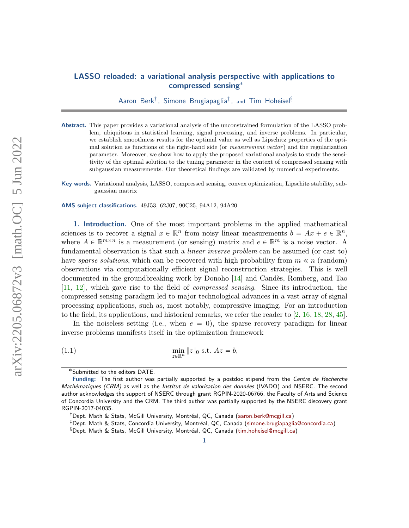## LASSO reloaded: a variational analysis perspective with applications to compressed sensing˚

Aaron Berk<sup>†</sup>, Simone Brugiapaglia<sup>‡</sup>, and Tim Hoheisel $§$ 

Abstract. This paper provides a variational analysis of the unconstrained formulation of the LASSO problem, ubiquitous in statistical learning, signal processing, and inverse problems. In particular, we establish smoothness results for the optimal value as well as Lipschitz properties of the optimal solution as functions of the right-hand side (or *measurement vector*) and the regularization parameter. Moreover, we show how to apply the proposed variational analysis to study the sensitivity of the optimal solution to the tuning parameter in the context of compressed sensing with subgaussian measurements. Our theoretical findings are validated by numerical experiments.

Key words. Variational analysis, LASSO, compressed sensing, convex optimization, Lipschitz stability, subgaussian matrix

AMS subject classifications. 49J53, 62J07, 90C25, 94A12, 94A20

1. Introduction. One of the most important problems in the applied mathematical sciences is to recover a signal  $x \in \mathbb{R}^n$  from noisy linear measurements  $b = Ax + e \in \mathbb{R}^n$ , where  $A \in \mathbb{R}^{m \times n}$  is a measurement (or sensing) matrix and  $e \in \mathbb{R}^m$  is a noise vector. A fundamental observation is that such a *linear inverse problem* can be assumed (or cast to) have sparse solutions, which can be recovered with high probability from  $m \ll n$  (random) observations via computationally efficient signal reconstruction strategies. This is well documented in the groundbreaking work by Donoho [\[14\]](#page-21-0) and Candès, Romberg, and Tao [\[11,](#page-21-1) [12\]](#page-21-2), which gave rise to the field of compressed sensing. Since its introduction, the compressed sensing paradigm led to major technological advances in a vast array of signal processing applications, such as, most notably, compressive imaging. For an introduction to the field, its applications, and historical remarks, we refer the reader to [\[2,](#page-21-3) [16,](#page-21-4) [18,](#page-21-5) [28,](#page-22-0) [45\]](#page-22-1).

In the noiseless setting (i.e., when  $e = 0$ ), the sparse recovery paradigm for linear inverse problems manifests itself in the optimization framework

(1.1)  $\min_{z \in \mathbb{R}^n} ||z||_0 \text{ s.t. } Az = b,$ 

<span id="page-0-0"></span><sup>˚</sup>Submitted to the editors DATE.

Funding: The first author was partially supported by a postdoc stipend from the Centre de Recherche Mathématiques (CRM) as well as the Institut de valorisation des données (IVADO) and NSERC. The second author acknowledges the support of NSERC through grant RGPIN-2020-06766, the Faculty of Arts and Science of Concordia University and the CRM. The third author was partially supported by the NSERC discovery grant RGPIN-2017-04035.

<sup>&</sup>lt;sup>†</sup>Dept. Math & Stats, McGill University, Montréal, QC, Canada [\(aaron.berk@mcgill.ca\)](mailto:aaron.berk@mcgill.ca)

<sup>&</sup>lt;sup>‡</sup>Dept. Math & Stats, Concordia University, Montréal, QC, Canada [\(simone.brugiapaglia@concordia.ca\)](mailto:simone.brugiapaglia@concordia.ca)

<sup>&</sup>lt;sup>§</sup>Dept. Math & Stats, McGill University, Montréal, QC, Canada [\(tim.hoheisel@mcgill.ca\)](mailto:tim.hoheisel@mcgill.ca)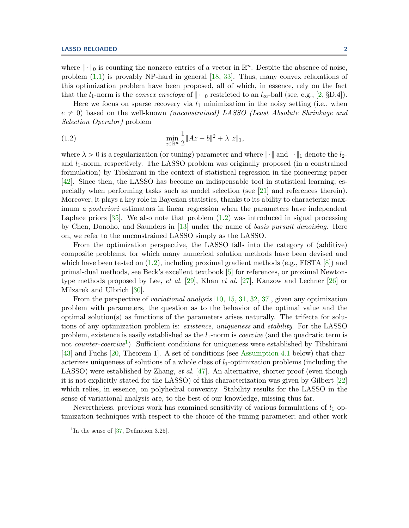where  $\|\cdot\|_0$  is counting the nonzero entries of a vector in  $\mathbb{R}^n$ . Despite the absence of noise, problem [\(1.1\)](#page-0-0) is provably NP-hard in general [\[18,](#page-21-5) [33\]](#page-22-2). Thus, many convex relaxations of this optimization problem have been proposed, all of which, in essence, rely on the fact that the  $l_1$ -norm is the *convex envelope* of  $\|\cdot\|_0$  restricted to an  $l_{\infty}$ -ball (see, e.g., [\[2,](#page-21-3) §D.4]).

Here we focus on sparse recovery via  $l_1$  minimization in the noisy setting (i.e., when  $e \neq 0$ ) based on the well-known *(unconstrained) LASSO (Least Absolute Shrinkage and* Selection Operator) problem

<span id="page-1-0"></span>(1.2) 
$$
\min_{z \in \mathbb{R}^n} \frac{1}{2} \|Az - b\|^2 + \lambda \|z\|_1,
$$

where  $\lambda > 0$  is a regularization (or tuning) parameter and where  $\|\cdot\|$  and  $\|\cdot\|_1$  denote the  $l_2$ and  $l_1$ -norm, respectively. The LASSO problem was originally proposed (in a constrained formulation) by Tibshirani in the context of statistical regression in the pioneering paper [\[42\]](#page-22-3). Since then, the LASSO has become an indispensable tool in statistical learning, especially when performing tasks such as model selection (see [\[21\]](#page-21-6) and references therein). Moreover, it plays a key role in Bayesian statistics, thanks to its ability to characterize maximum *a posteriori* estimators in linear regression when the parameters have independent Laplace priors  $[35]$ . We also note that problem  $(1.2)$  was introduced in signal processing by Chen, Donoho, and Saunders in [\[13\]](#page-21-7) under the name of basis pursuit denoising. Here on, we refer to the unconstrained LASSO simply as the LASSO.

From the optimization perspective, the LASSO falls into the category of (additive) composite problems, for which many numerical solution methods have been devised and which have been tested on  $(1.2)$ , including proximal gradient methods  $(e.g., FISTA [8])$  $(e.g., FISTA [8])$  $(e.g., FISTA [8])$  and primal-dual methods, see Beck's excellent textbook [\[5\]](#page-21-9) for references, or proximal Newtontype methods proposed by Lee, *et al.* [\[29\]](#page-22-5), Khan *et al.* [\[27\]](#page-22-6), Kanzow and Lechner [\[26\]](#page-22-7) or Milzarek and Ulbrich [\[30\]](#page-22-8).

From the perspective of *variational analysis* [\[10,](#page-21-10) [15,](#page-21-11) [31,](#page-22-9) [32,](#page-22-10) [37\]](#page-22-11), given any optimization problem with parameters, the question as to the behavior of the optimal value and the optimal solution(s) as functions of the parameters arises naturally. The trifecta for solutions of any optimization problem is: existence, uniqueness and stability. For the LASSO problem, existence is easily established as the  $l_1$ -norm is *coercive* (and the quadratic term is not *counter-coercive*<sup>[1](#page-1-1)</sup>). Sufficient conditions for uniqueness were established by Tibshirani [\[43\]](#page-22-12) and Fuchs [\[20,](#page-21-12) Theorem 1]. A set of conditions (see [Assumption 4.1](#page-9-0) below) that characterizes uniqueness of solutions of a whole class of  $l_1$ -optimization problems (including the LASSO) were established by Zhang, *et al.* [\[47\]](#page-22-13). An alternative, shorter proof (even though it is not explicitly stated for the LASSO) of this characterization was given by Gilbert [\[22\]](#page-21-13) which relies, in essence, on polyhedral convexity. Stability results for the LASSO in the sense of variational analysis are, to the best of our knowledge, missing thus far.

Nevertheless, previous work has examined sensitivity of various formulations of  $l_1$  optimization techniques with respect to the choice of the tuning parameter; and other work

<span id="page-1-1"></span><sup>&</sup>lt;sup>1</sup>In the sense of  $[37,$  Definition 3.25].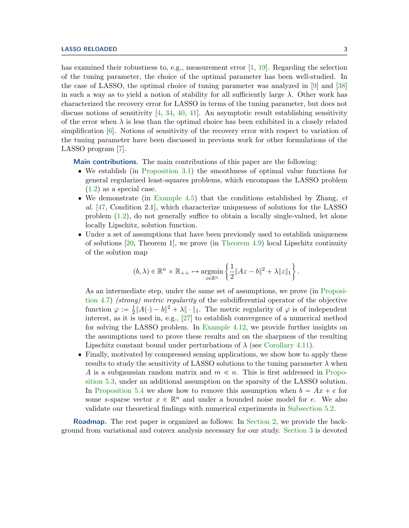has examined their robustness to, e.g., measurement error  $[1, 19]$  $[1, 19]$ . Regarding the selection of the tuning parameter, the choice of the optimal parameter has been well-studied. In the case of LASSO, the optimal choice of tuning parameter was analyzed in [\[9\]](#page-21-16) and [\[38\]](#page-22-14) in such a way as to yield a notion of stability for all sufficiently large  $\lambda$ . Other work has characterized the recovery error for LASSO in terms of the tuning parameter, but does not discuss notions of sensitivity  $[4, 34, 40, 41]$  $[4, 34, 40, 41]$  $[4, 34, 40, 41]$  $[4, 34, 40, 41]$  $[4, 34, 40, 41]$  $[4, 34, 40, 41]$ . An asymptotic result establishing sensitivity of the error when  $\lambda$  is less than the optimal choice has been exhibited in a closely related simplification [\[6\]](#page-21-18). Notions of sensitivity of the recovery error with respect to variation of the tuning parameter have been discussed in previous work for other formulations of the LASSO program [\[7\]](#page-21-19).

Main contributions. The main contributions of this paper are the following:

- ' We establish (in [Proposition 3.1\)](#page-6-0) the smoothness of optimal value functions for general regularized least-squares problems, which encompass the LASSO problem  $(1.2)$  as a special case.
- We demonstrate (in [Example 4.5\)](#page-10-0) that the conditions established by Zhang,  $et$ al. [\[47,](#page-22-13) Condition 2.1], which characterize uniqueness of solutions for the LASSO problem [\(1.2\)](#page-1-0), do not generally suffice to obtain a locally single-valued, let alone locally Lipschitz, solution function.
- ' Under a set of assumptions that have been previously used to establish uniqueness of solutions [\[20,](#page-21-12) Theorem 1], we prove (in [Theorem 4.9\)](#page-12-0) local Lipschitz continuity of the solution map

$$
(b,\lambda)\in\mathbb{R}^n\times\mathbb{R}_{++}\mapsto\underset{z\in\mathbb{R}^n}{\operatorname{argmin}}\left\{\frac{1}{2}\|Az-b\|^2+\lambda\|z\|_1\right\}.
$$

As an intermediate step, under the same set of assumptions, we prove (in [Proposi](#page-11-0)[tion 4.7\)](#page-11-0) (strong) metric regularity of the subdifferential operator of the objective function  $\varphi := \frac{1}{2}$  $\frac{1}{2}||A(\cdot) - b||^2 + \lambda ||\cdot||_1$ . The metric regularity of  $\varphi$  is of independent interest, as it is used in, e.g., [\[27\]](#page-22-6) to establish convergence of a numerical method for solving the LASSO problem. In [Example 4.12,](#page-14-0) we provide further insights on the assumptions used to prove these results and on the sharpness of the resulting Lipschitz constant bound under perturbations of  $\lambda$  (see [Corollary 4.11\)](#page-14-1).

' Finally, motivated by compressed sensing applications, we show how to apply these results to study the sensitivity of LASSO solutions to the tuning parameter  $\lambda$  when A is a subgaussian random matrix and  $m \ll n$ . This is first addressed in [Propo](#page-16-0)[sition 5.3,](#page-16-0) under an additional assumption on the sparsity of the LASSO solution. In [Proposition 5.4](#page-17-0) we show how to remove this assumption when  $b = Ax + e$  for some s-sparse vector  $x \in \mathbb{R}^n$  and under a bounded noise model for e. We also validate our theoretical findings with numerical experiments in [Subsection 5.2.](#page-18-0)

**Roadmap.** The rest paper is organized as follows: In [Section 2,](#page-3-0) we provide the background from variational and convex analysis necessary for our study. [Section 3](#page-5-0) is devoted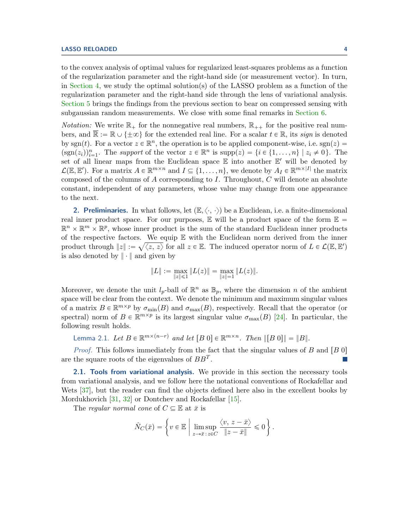to the convex analysis of optimal values for regularized least-squares problems as a function of the regularization parameter and the right-hand side (or measurement vector). In turn, in [Section 4,](#page-9-1) we study the optimal solution(s) of the LASSO problem as a function of the regularization parameter and the right-hand side through the lens of variational analysis. [Section 5](#page-15-0) brings the findings from the previous section to bear on compressed sensing with subgaussian random measurements. We close with some final remarks in [Section 6.](#page-19-0)

*Notation:* We write  $\mathbb{R}_+$  for the nonnegative real numbers,  $\mathbb{R}_{++}$  for the positive real numbers, and  $\overline{\mathbb{R}} := \mathbb{R} \cup \{\pm \infty\}$  for the extended real line. For a scalar  $t \in \mathbb{R}$ , its sign is denoted by sgn(t). For a vector  $z \in \mathbb{R}^n$ , the operation is to be applied component-wise, i.e. sgn(z) =  $(\text{sgn}(z_i))_{i=1}^n$ . The support of the vector  $z \in \mathbb{R}^n$  is  $\text{supp}(z) = \{i \in \{1, ..., n\} \mid z_i \neq 0\}$ . The set of all linear maps from the Euclidean space  $\mathbb E$  into another  $\mathbb E'$  will be denoted by  $\mathcal{L}(\mathbb{E}, \mathbb{E}')$ . For a matrix  $A \in \mathbb{R}^{m \times n}$  and  $I \subseteq \{1, ..., n\}$ , we denote by  $A_I \in \mathbb{R}^{m \times |I|}$  the matrix composed of the columns of  $A$  corresponding to  $I$ . Throughout,  $C$  will denote an absolute constant, independent of any parameters, whose value may change from one appearance to the next.

<span id="page-3-0"></span>**2. Preliminaries.** In what follows, let  $(\mathbb{E}, \langle \cdot, \cdot \rangle)$  be a Euclidean, i.e. a finite-dimensional real inner product space. For our purposes,  $\mathbb E$  will be a product space of the form  $\mathbb E$  =  $\mathbb{R}^n \times \mathbb{R}^m \times \mathbb{R}^p$ , whose inner product is the sum of the standard Euclidean inner products of the respective factors. We equip  $E$  with the Euclidean norm derived from the inner product through  $||z|| := \sqrt{\langle z, z \rangle}$  for all  $z \in \mathbb{E}$ . The induced operator norm of  $L \in \mathcal{L}(\mathbb{E}, \mathbb{E}')$ is also denoted by  $\|\cdot\|$  and given by

$$
||L|| := \max_{||z|| \le 1} ||L(z)|| = \max_{||z|| = 1} ||L(z)||.
$$

Moreover, we denote the unit  $l_p$ -ball of  $\mathbb{R}^n$  as  $\mathbb{B}_p$ , where the dimension n of the ambient space will be clear from the context. We denote the minimum and maximum singular values of a matrix  $B \in \mathbb{R}^{m \times p}$  by  $\sigma_{\min}(B)$  and  $\sigma_{\max}(B)$ , respectively. Recall that the operator (or spectral) norm of  $B \in \mathbb{R}^{m \times p}$  is its largest singular value  $\sigma_{\max}(B)$  [\[24\]](#page-21-20). In particular, the following result holds.

<span id="page-3-1"></span>Lemma 2.1. Let  $B \in \mathbb{R}^{m \times (n-r)}$  and let  $[B \ 0] \in \mathbb{R}^{m \times n}$ . Then  $\|[B \ 0]\| = \|B\|$ .

*Proof.* This follows immediately from the fact that the singular values of  $B$  and  $[B\ 0]$ are the square roots of the eigenvalues of  $BB<sup>T</sup>$ .  $\mathcal{L}_{\mathcal{A}}$ 

**2.1. Tools from variational analysis.** We provide in this section the necessary tools from variational analysis, and we follow here the notational conventions of Rockafellar and Wets [\[37\]](#page-22-11), but the reader can find the objects defined here also in the excellent books by Mordukhovich [\[31,](#page-22-9) [32\]](#page-22-10) or Dontchev and Rockafellar [\[15\]](#page-21-11).

The regular normal cone of  $C \subseteq \mathbb{E}$  at  $\bar{x}$  is

$$
\hat{N}_C(\bar{x}) = \left\{ v \in \mathbb{E} \mid \limsup_{z \to \bar{x} \, : \, z \in C} \frac{\langle v, \, z - \bar{x} \rangle}{\|z - \bar{x}\|} \leq 0 \right\}.
$$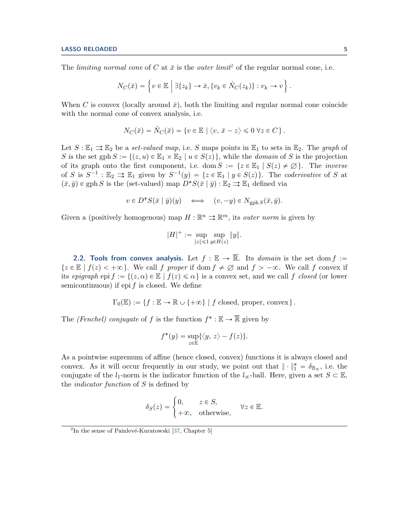The *limiting normal cone* of C at  $\bar{x}$  is the *outer limit*<sup>[2](#page-4-0)</sup> of the regular normal cone, i.e.

$$
N_C(\bar{x}) = \left\{ v \in \mathbb{E} \mid \exists \{z_k\} \to \bar{x}, \{v_k \in \hat{N}_C(z_k)\} : v_k \to v \right\}.
$$

When C is convex (locally around  $\bar{x}$ ), both the limiting and regular normal cone coincide with the normal cone of convex analysis, i.e.

$$
N_C(\bar{x}) = \hat{N}_C(\bar{x}) = \{v \in \mathbb{E} \mid \langle v, \, \bar{x} - z \rangle \leq 0 \, \forall z \in C\}.
$$

Let  $S : \mathbb{E}_1 \rightrightarrows \mathbb{E}_2$  be a set-valued map, i.e. S maps points in  $\mathbb{E}_1$  to sets in  $\mathbb{E}_2$ . The graph of S is the set gph  $S := \{(z, u) \in \mathbb{E}_1 \times \mathbb{E}_2 \mid u \in S(z)\}\)$ , while the *domain* of S is the projection of its graph onto the first component, i.e. dom  $S := \{z \in \mathbb{E}_1 \mid S(z) \neq \emptyset\}$ . The *inverse* of S is  $S^{-1}$ :  $\mathbb{E}_2 \rightrightarrows \mathbb{E}_1$  given by  $S^{-1}(y) = \{z \in \mathbb{E}_1 \mid y \in S(z)\}\.$  The *coderivative* of S at  $(\bar{x}, \bar{y}) \in \text{gph } S$  is the (set-valued) map  $D^*S(\bar{x} | \bar{y}) : \mathbb{E}_2 \rightrightarrows \mathbb{E}_1$  defined via

$$
v \in D^*S(\bar{x} \mid \bar{y})(y) \quad \Longleftrightarrow \quad (v, -y) \in N_{\text{gph }S}(\bar{x}, \bar{y}).
$$

Given a (positively homogenous) map  $H : \mathbb{R}^n \rightrightarrows \mathbb{R}^m$ , its *outer norm* is given by

$$
|H|^+ := \sup_{\|z\| \leq 1} \sup_{y \in H(z)} \|y\|.
$$

2.2. Tools from convex analysis. Let  $f : \mathbb{E} \to \overline{\mathbb{R}}$ . Its *domain* is the set dom  $f :=$  $\{z \in \mathbb{E} \mid f(z) < +\infty\}$ . We call f proper if dom  $f \neq \emptyset$  and  $f > -\infty$ . We call f convex if its epigraph epi  $f := \{(z, \alpha) \in \mathbb{E} \mid f(z) \leq \alpha\}$  is a convex set, and we call f closed (or lower semicontinuous) if epi  $f$  is closed. We define

$$
\Gamma_0(\mathbb{E}) := \{ f : \mathbb{E} \to \mathbb{R} \cup \{ +\infty \} \mid f \text{ closed, proper, convex} \}.
$$

The *(Fenchel)* conjugate of f is the function  $f^* : \mathbb{E} \to \mathbb{R}$  given by

$$
f^*(y) = \sup_{z \in \mathbb{E}} \{ \langle y, z \rangle - f(z) \}.
$$

As a pointwise supremum of affine (hence closed, convex) functions it is always closed and convex. As it will occur frequently in our study, we point out that  $\|\cdot\|_1^* = \delta_{\mathbb{B}_{\infty}}$ , i.e. the conjugate of the  $l_1$ -norm is the indicator function of the  $l_\infty$ -ball. Here, given a set  $S \subset \mathbb{E}$ , the *indicator function* of  $S$  is defined by

$$
\delta_S(z) = \begin{cases} 0, & z \in S, \\ +\infty, & \text{otherwise,} \end{cases} \quad \forall z \in \mathbb{E}.
$$

<span id="page-4-0"></span> $2$ In the sense of Painlevé-Kuratowski [\[37,](#page-22-11) Chapter 5]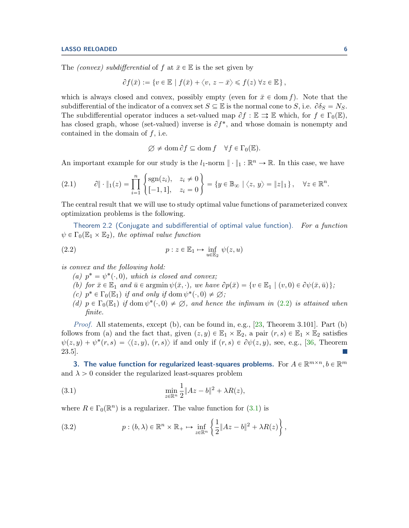The *(convex)* subdifferential of f at  $\bar{x} \in \mathbb{E}$  is the set given by

$$
\partial f(\bar{x}) := \{ v \in \mathbb{E} \mid f(\bar{x}) + \langle v, z - \bar{x} \rangle \leq f(z) \; \forall z \in \mathbb{E} \},
$$

which is always closed and convex, possibly empty (even for  $\bar{x} \in \text{dom } f$ ). Note that the subdifferential of the indicator of a convex set  $S \subseteq \mathbb{E}$  is the normal cone to S, i.e.  $\partial \delta_S = N_S$ . The subdifferential operator induces a set-valued map  $\partial f : \mathbb{E} \implies \mathbb{E}$  which, for  $f \in \Gamma_0(\mathbb{E}),$ has closed graph, whose (set-valued) inverse is  $\partial f^*$ , and whose domain is nonempty and contained in the domain of  $f$ , i.e.

$$
\varnothing \neq \text{dom}\,\partial f \subseteq \text{dom}\, f \quad \forall f \in \Gamma_0(\mathbb{E}).
$$

An important example for our study is the  $l_1$ -norm  $\|\cdot\|_1 : \mathbb{R}^n \to \mathbb{R}$ . In this case, we have # +

<span id="page-5-5"></span>
$$
(2.1) \qquad \partial \|\cdot\|_1(z) = \prod_{i=1}^n \begin{cases} \text{sgn}(z_i), & z_i \neq 0 \\ [-1,1], & z_i = 0 \end{cases} = \{y \in \mathbb{B}_{\infty} \mid \langle z, y \rangle = \|z\|_1\}, \quad \forall z \in \mathbb{R}^n
$$

The central result that we will use to study optimal value functions of parameterized convex optimization problems is the following.

<span id="page-5-4"></span>Theorem 2.2 (Conjugate and subdifferential of optimal value function). For a function  $\psi \in \Gamma_0(\mathbb{E}_1 \times \mathbb{E}_2)$ , the optimal value function

(2.2) 
$$
p: z \in \mathbb{E}_1 \mapsto \inf_{u \in \mathbb{E}_2} \psi(z, u)
$$

is convex and the following hold:

- <span id="page-5-1"></span>(a)  $p^* = \psi^*(\cdot, 0)$ , which is closed and convex;
- (b) for  $\bar{x} \in \mathbb{E}_1$  and  $\bar{u} \in \text{argmin } \psi(\bar{x}, \cdot)$ , we have  $\partial p(\bar{x}) = \{v \in \mathbb{E}_1 \mid (v, 0) \in \partial \psi(\bar{x}, \bar{u})\};$
- (c)  $p^* \in \Gamma_0(\mathbb{E}_1)$  if and only if dom  $\psi^*(\cdot,0) \neq \emptyset$ ;
- (d)  $p \in \Gamma_0(\mathbb{E}_1)$  if dom  $\psi^*(\cdot, 0) \neq \emptyset$ , and hence the infimum in [\(2.2\)](#page-5-1) is attained when finite.

*Proof.* All statements, except (b), can be found in, e.g.,  $[23,$  Theorem 3.101. Part (b) follows from (a) and the fact that, given  $(z, y) \in \mathbb{E}_1 \times \mathbb{E}_2$ , a pair  $(r, s) \in \mathbb{E}_1 \times \mathbb{E}_2$  satisfies  $\psi(z, y) + \psi^*(r, s) = \langle (z, y), (r, s) \rangle$  if and only if  $(r, s) \in \partial \psi(z, y)$ , see, e.g., [\[36,](#page-22-18) Theorem 23.5].

<span id="page-5-0"></span>3. The value function for regularized least-squares problems. For  $A \in \mathbb{R}^{m \times n}$ ,  $b \in \mathbb{R}^m$ and  $\lambda > 0$  consider the regularized least-squares problem

<span id="page-5-2"></span>(3.1) 
$$
\min_{z \in \mathbb{R}^n} \frac{1}{2} \|Az - b\|^2 + \lambda R(z),
$$

where  $R \in \Gamma_0(\mathbb{R}^n)$  is a regularizer. The value function for  $(3.1)$  is "

<span id="page-5-3"></span>(3.2) 
$$
p:(b,\lambda)\in\mathbb{R}^n\times\mathbb{R}_+\mapsto\inf_{z\in\mathbb{R}^n}\left\{\frac{1}{2}\|Az-b\|^2+\lambda R(z)\right\},\,
$$

.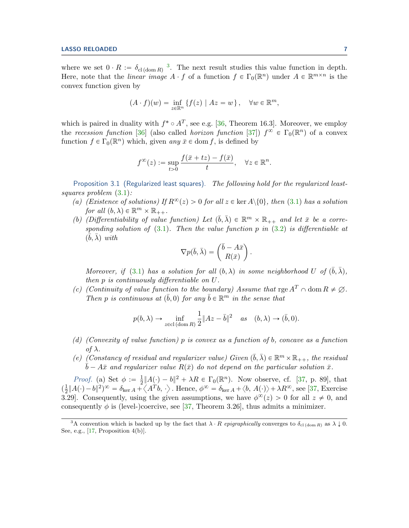where we set  $0 \cdot R := \delta_{\mathrm{cl}(\mathrm{dom} R)}^{-3}$  $0 \cdot R := \delta_{\mathrm{cl}(\mathrm{dom} R)}^{-3}$  $0 \cdot R := \delta_{\mathrm{cl}(\mathrm{dom} R)}^{-3}$ . The next result studies this value function in depth. Here, note that the *linear image*  $A \cdot f$  of a function  $f \in \Gamma_0(\mathbb{R}^n)$  under  $A \in \mathbb{R}^{m \times n}$  is the convex function given by

$$
(A \cdot f)(w) = \inf_{z \in \mathbb{R}^n} \{ f(z) \mid Az = w \}, \quad \forall w \in \mathbb{R}^m,
$$

which is paired in duality with  $f^* \circ A^T$ , see e.g. [\[36,](#page-22-18) Theorem 16.3]. Moreover, we employ the recession function [\[36\]](#page-22-18) (also called *horizon function* [\[37\]](#page-22-11))  $f^{\infty} \in \Gamma_0(\mathbb{R}^n)$  of a convex function  $f \in \Gamma_0(\mathbb{R}^n)$  which, given any  $\bar{x} \in \text{dom } f$ , is defined by

$$
f^{\infty}(z) := \sup_{t>0} \frac{f(\bar{x}+tz) - f(\bar{x})}{t}, \quad \forall z \in \mathbb{R}^n.
$$

<span id="page-6-0"></span>Proposition 3.1 (Regularized least squares). The following hold for the regularized leastsquares problem [\(3.1\)](#page-5-2):

- (a) (Existence of solutions) If  $R^{\infty}(z) > 0$  for all  $z \in \text{ker }A \setminus \{0\}$ , then [\(3.1\)](#page-5-2) has a solution for all  $(b, \lambda) \in \mathbb{R}^m \times \mathbb{R}_{++}$ .
- (b) (Differentiability of value function) Let  $(\bar{b}, \bar{\lambda}) \in \mathbb{R}^m \times \mathbb{R}_{++}$  and let  $\bar{x}$  be a corresponding solution of  $(3.1)$ . Then the value function p in  $(3.2)$  is differentiable at  $(\bar{\bar{b}}, \bar{\lambda})$  with

$$
\nabla p(\bar{b}, \bar{\lambda}) = \begin{pmatrix} \bar{b} - A\bar{x} \\ R(\bar{x}) \end{pmatrix}.
$$

Moreover, if [\(3.1\)](#page-5-2) has a solution for all  $(b, \lambda)$  in some neighborhood U of  $(\bar{b}, \bar{\lambda}),$ then p is continuously differentiable on U.

(c) (Continuity of value function to the boundary) Assume that  $\operatorname{rge} A^T \cap \operatorname{dom} R \neq \emptyset$ . Then p is continuous at  $(\bar{b}, 0)$  for any  $\bar{b} \in \mathbb{R}^m$  in the sense that

$$
p(b, \lambda) \to \inf_{z \in \text{cl}(\text{dom } R)} \frac{1}{2} \|Az - \overline{b}\|^2 \quad \text{as} \quad (b, \lambda) \to (\overline{b}, 0).
$$

- (d) (Convexity of value function) p is convex as a function of b, concave as a function of  $λ$ .
- (e) (Constancy of residual and regularizer value) Given  $(\bar{b}, \bar{\lambda}) \in \mathbb{R}^m \times \mathbb{R}_{++}$ , the residual  $\bar{b} - A\bar{x}$  and regularizer value  $R(\bar{x})$  do not depend on the particular solution  $\bar{x}$ .

*Proof.* (a) Set  $\phi := \frac{1}{2}$  $\frac{1}{2}||A(\cdot) - b||^2 + \lambda R \in \Gamma_0(\mathbb{R}^n)$ . Now observe, cf. [\[37,](#page-22-11) p. 89], that  $\left(\frac{1}{2}\right)$  $\frac{1}{2}||A(\cdot)-b||^2)^{\infty} = \delta_{\ker A} + \langle A^T b, \cdot \rangle$ . Hence,  $\phi^{\infty} = \delta_{\ker A} + \langle b, A(\cdot) \rangle + \lambda R^{\infty}$ , see [\[37,](#page-22-11) Exercise 3.29. Consequently, using the given assumptions, we have  $\phi^{\infty}(z) > 0$  for all  $z \neq 0$ , and consequently  $\phi$  is (level-)coercive, see [\[37,](#page-22-11) Theorem 3.26], thus admits a minimizer.

<span id="page-6-1"></span><sup>&</sup>lt;sup>3</sup>A convention which is backed up by the fact that  $\lambda \cdot R$  epigraphically converges to  $\delta_{\rm cl\,(dom\,R)}$  as  $\lambda \downarrow 0$ . See, e.g.,  $[17,$  Proposition  $4(b)$ ].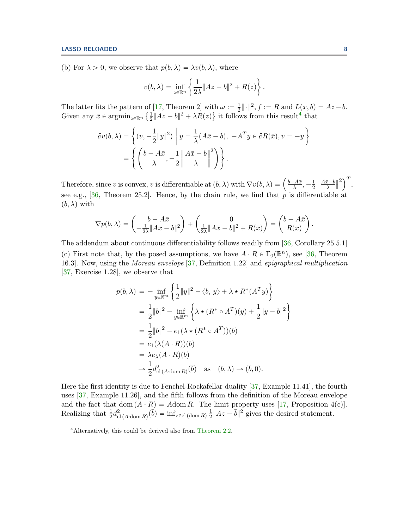(b) For  $\lambda > 0$ , we observe that  $p(b, \lambda) = \lambda v(b, \lambda)$ , where

$$
v(b,\lambda) = \inf_{z \in \mathbb{R}^n} \left\{ \frac{1}{2\lambda} \|Az - b\|^2 + R(z) \right\}.
$$

The latter fits the pattern of [\[17,](#page-21-22) Theorem 2] with  $\omega := \frac{1}{2}$ of [17, Theorem 2] with  $\omega := \frac{1}{2} || \cdot ||^2$ ,  $f := R$  and  $L(x, b) = Az - b$ . Given any  $\bar{x} \in \operatorname{argmin}_{z \in \mathbb{R}^n} \left\{ \frac{1}{2} \right\}$  $\frac{1}{2}||Az - b||^2 + \lambda R(z)$  it follows from this result<sup>[4](#page-7-0)</sup> that

$$
\partial v(b,\lambda) = \left\{ (v, -\frac{1}{2}||y||^2) \middle| y = \frac{1}{\lambda}(A\bar{x} - b), -A^T y \in \partial R(\bar{x}), v = -y \right\}
$$

$$
= \left\{ \left( \frac{b - A\bar{x}}{\lambda}, -\frac{1}{2} \left\| \frac{A\bar{x} - b}{\lambda} \right\|^2 \right) \right\}.
$$

Therefore, since v is convex, v is differentiable at  $(b, \lambda)$  with  $\nabla v(b, \lambda) = \left(\frac{b - A\bar{x}}{\lambda}, -\frac{1}{2}\right)$ 2  $\frac{A\bar{x}-b}{\lambda}$  $\binom{2}{1}^T$ , see e.g., [\[36,](#page-22-18) Theorem 25.2]. Hence, by the chain rule, we find that  $\hat{p}$  is differentiable at  $(b, \lambda)$  with

$$
\nabla p(b,\lambda) = \begin{pmatrix} b - A\bar{x} \\ -\frac{1}{2\lambda} \|A\bar{x} - b\|^2 \end{pmatrix} + \begin{pmatrix} 0 \\ \frac{1}{2\lambda} \|A\bar{x} - b\|^2 + R(\bar{x}) \end{pmatrix} = \begin{pmatrix} b - A\bar{x} \\ R(\bar{x}) \end{pmatrix}.
$$

The addendum about continuous differentiability follows readily from [\[36,](#page-22-18) Corollary 25.5.1] (c) First note that, by the posed assumptions, we have  $A \cdot R \in \Gamma_0(\mathbb{R}^n)$ , see [\[36,](#page-22-18) Theorem 16.3]. Now, using the Moreau envelope [\[37,](#page-22-11) Definition 1.22] and epigraphical multiplication [\[37,](#page-22-11) Exercise 1.28], we observe that

$$
p(b,\lambda) = -\inf_{y \in \mathbb{R}^m} \left\{ \frac{1}{2} \|y\|^2 - \langle b, y \rangle + \lambda \star R^*(A^T y) \right\}
$$
  
=  $\frac{1}{2} \|b\|^2 - \inf_{y \in \mathbb{R}^m} \left\{ \lambda \star (R^* \circ A^T)(y) + \frac{1}{2} \|y - b\|^2 \right\}$   
=  $\frac{1}{2} \|b\|^2 - e_1 (\lambda \star (R^* \circ A^T))(b)$   
=  $e_1 (\lambda (A \cdot R))(b)$   
=  $\lambda e_\lambda (A \cdot R)(b)$   
 $\rightarrow \frac{1}{2} d_{\text{cl}}^2 (A \cdot \text{dom } R)(\overline{b}) \quad \text{as} \quad (b, \lambda) \rightarrow (\overline{b}, 0).$ 

Here the first identity is due to Fenchel-Rockafellar duality [\[37,](#page-22-11) Example 11.41], the fourth uses [\[37,](#page-22-11) Example 11.26], and the fifth follows from the definition of the Moreau envelope and the fact that dom  $(A \cdot R) = A$ dom R. The limit property uses [\[17,](#page-21-22) Proposition 4(c)]. Realizing that  $\frac{1}{2}d_{\text{cl}\,(A\cdot\text{dom }R)}^2(\vec{b}) = \inf_{z \in \text{cl}\,(\text{dom }R)} \frac{1}{2}$  $\frac{1}{2}||Az - \overline{b}||^2$  gives the desired statement.

<span id="page-7-0"></span><sup>4</sup>Alternatively, this could be derived also from [Theorem 2.2.](#page-5-4)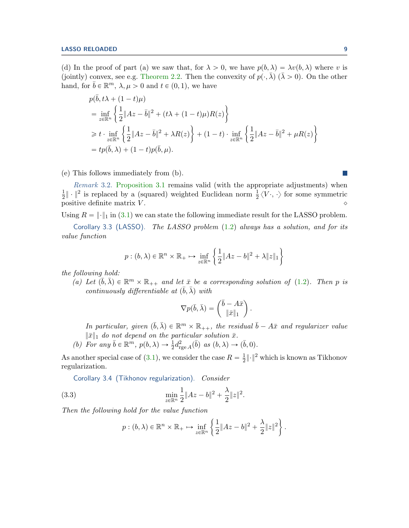(d) In the proof of part (a) we saw that, for  $\lambda > 0$ , we have  $p(b, \lambda) = \lambda v(b, \lambda)$  where v is (jointly) convex, see e.g. [Theorem 2.2.](#page-5-4) Then the convexity of  $p(\cdot, \bar{\lambda})$  ( $\bar{\lambda} > 0$ ). On the other hand, for  $\bar{b} \in \mathbb{R}^m$ ,  $\lambda, \mu > 0$  and  $t \in (0, 1)$ , we have

$$
p(\bar{b}, t\lambda + (1 - t)\mu)
$$
  
= 
$$
\inf_{z \in \mathbb{R}^n} \left\{ \frac{1}{2} \|Az - \bar{b}\|^2 + (t\lambda + (1 - t)\mu)R(z) \right\}
$$
  

$$
\geq t \cdot \inf_{z \in \mathbb{R}^n} \left\{ \frac{1}{2} \|Az - \bar{b}\|^2 + \lambda R(z) \right\} + (1 - t) \cdot \inf_{z \in \mathbb{R}^n} \left\{ \frac{1}{2} \|Az - \bar{b}\|^2 + \mu R(z) \right\}
$$
  
= 
$$
tp(\bar{b}, \lambda) + (1 - t)p(\bar{b}, \mu).
$$

(e) This follows immediately from (b).

Remark 3.2. [Proposition 3.1](#page-6-0) remains valid (with the appropriate adjustments) when 1  $\frac{1}{2} \|\cdot\|^2$  is replaced by a (squared) weighted Euclidean norm  $\frac{1}{2}\langle V \cdot, \cdot \rangle$  for some symmetric positive definite matrix  $V$ .

Using  $R = ||\cdot||_1$  in [\(3.1\)](#page-5-2) we can state the following immediate result for the LASSO problem.

Corollary 3.3 (LASSO). The LASSO problem  $(1.2)$  always has a solution, and for its value function

"

\*

$$
p:(b,\lambda)\in\mathbb{R}^n\times\mathbb{R}_+\mapsto\inf_{z\in\mathbb{R}^n}\left\{\frac{1}{2}\|Az-b\|^2+\lambda\|z\|_1\right\}
$$

the following hold:

(a) Let  $(\bar{b}, \bar{\lambda}) \in \mathbb{R}^m \times \mathbb{R}_{++}$  and let  $\bar{x}$  be a corresponding solution of [\(1.2\)](#page-1-0). Then p is continuously differentiable at  $(\bar{b}, \bar{\lambda})$  with

$$
\nabla p(\bar{b}, \bar{\lambda}) = \begin{pmatrix} \bar{b} - A\bar{x} \\ \|\bar{x}\|_1 \end{pmatrix}.
$$

In particular, given  $(\bar{b}, \bar{\lambda}) \in \mathbb{R}^m \times \mathbb{R}_{++}$ , the residual  $\bar{b} - A\bar{x}$  and regularizer value  $\|\bar{x}\|_1$  do not depend on the particular solution  $\bar{x}$ .

(b) For any  $\bar{b} \in \mathbb{R}^m$ ,  $p(b, \lambda) \to \frac{1}{2} d_{\text{rge }A}^2(\bar{b})$  as  $(b, \lambda) \to (\bar{b}, 0)$ .

As another special case of [\(3.1\)](#page-5-2), we consider the case  $R = \frac{1}{2}$  $\frac{1}{2} \lVert \cdot \rVert^2$  which is known as Tikhonov regularization.

Corollary 3.4 (Tikhonov regularization). Consider

(3.3) 
$$
\min_{z \in \mathbb{R}^n} \frac{1}{2} \|Az - b\|^2 + \frac{\lambda}{2} \|z\|^2.
$$

Then the following hold for the value function

$$
p:(b,\lambda)\in\mathbb{R}^n\times\mathbb{R}_+\mapsto\inf_{z\in\mathbb{R}^n}\left\{\frac{1}{2}\|Az-b\|^2+\frac{\lambda}{2}\|z\|^2\right\}.
$$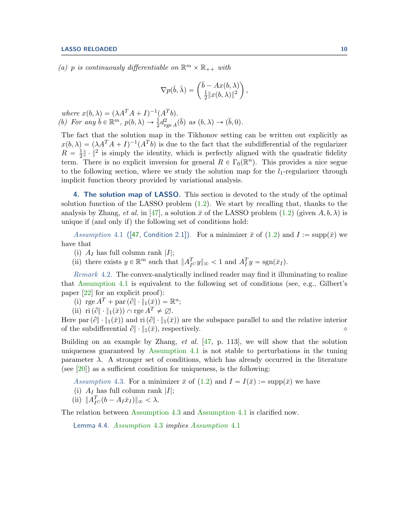(a) p is continuously differentiable on  $\mathbb{R}^m \times \mathbb{R}_{++}$  with

$$
\nabla p(\bar{b}, \bar{\lambda}) = \begin{pmatrix} \bar{b} - Ax(b, \lambda) \\ \frac{1}{2} ||x(b, \lambda)||^2 \end{pmatrix},
$$

where  $x(b, \lambda) = (\lambda A^T A + I)^{-1} (A^T b)$ . (b) For any  $\bar{b} \in \mathbb{R}^m$ ,  $p(b, \lambda) \to \frac{1}{2} d_{\text{rge }A}^2(\bar{b})$  as  $(b, \lambda) \to (\bar{b}, 0)$ .

The fact that the solution map in the Tikhonov setting can be written out explicitly as  $x(b, \lambda) = (\lambda A^T A + I)^{-1} (A^T b)$  is due to the fact that the subdifferential of the regularizer  $R = \frac{1}{2}$  $\frac{1}{2} \|\cdot\|^2$  is simply the identity, which is perfectly aligned with the quadratic fidelity term. There is no explicit inversion for general  $R \in \Gamma_0(\mathbb{R}^n)$ . This provides a nice segue to the following section, where we study the solution map for the  $l_1$ -regularizer through implicit function theory provided by variational analysis.

<span id="page-9-1"></span>4. The solution map of LASSO. This section is devoted to the study of the optimal solution function of the LASSO problem [\(1.2\)](#page-1-0). We start by recalling that, thanks to the analysis by Zhang, et al. in [\[47\]](#page-22-13), a solution  $\bar{x}$  of the LASSO problem [\(1.2\)](#page-1-0) (given  $A, b, \lambda$ ) is unique if (and only if) the following set of conditions hold:

<span id="page-9-0"></span>Assumption 4.1 ([\[47,](#page-22-13) Condition 2.1]). For a minimizer  $\bar{x}$  of [\(1.2\)](#page-1-0) and  $I := \text{supp}(\bar{x})$  we have that

- (i)  $A_I$  has full column rank |I|;
- (ii) there exists  $y \in \mathbb{R}^m$  such that  $||A_{I^C}^T y||_{\infty} < 1$  and  $A_I^T y = \text{sgn}(\bar{x}_I)$ .

Remark 4.2. The convex-analytically inclined reader may find it illuminating to realize that [Assumption 4.1](#page-9-0) is equivalent to the following set of conditions (see, e.g., Gilbert's paper [\[22\]](#page-21-13) for an explicit proof):

- (i)  $\operatorname{rge} A^T + \operatorname{par} (\partial \|\cdot\|_1(\bar{x})) = \mathbb{R}^n;$
- (ii) ri $(\partial \|\cdot\|_1(\bar{x})) \cap \text{rge } A^T \neq \emptyset$ .

Here par $(\partial \|\cdot\|_1(\bar{x}))$  and ri $(\partial \|\cdot\|_1(\bar{x}))$  are the subspace parallel to and the relative interior of the subdifferential  $\partial \|\cdot\|_1(\bar{x})$ , respectively.

Building on an example by Zhang,  $et \ al.$  [\[47,](#page-22-13) p. 113], we will show that the solution uniqueness guaranteed by [Assumption 4.1](#page-9-0) is not stable to perturbations in the tuning parameter  $\lambda$ . A stronger set of conditions, which has already occurred in the literature (see  $[20]$ ) as a sufficient condition for uniqueness, is the following:

<span id="page-9-2"></span>Assumption 4.3. For a minimizer  $\bar{x}$  of [\(1.2\)](#page-1-0) and  $I = I(\bar{x}) := \text{supp}(\bar{x})$  we have

- (i)  $A_I$  has full column rank |I|;
- (ii)  $||A_{I^C}^T(b A_I \bar{x}_I)||_{\infty} < \lambda$ .

The relation between [Assumption 4.3](#page-9-2) and [Assumption 4.1](#page-9-0) is clarified now.

Lemma 4.4. [Assumption](#page-9-2) 4.3 implies [Assumption](#page-9-0) 4.1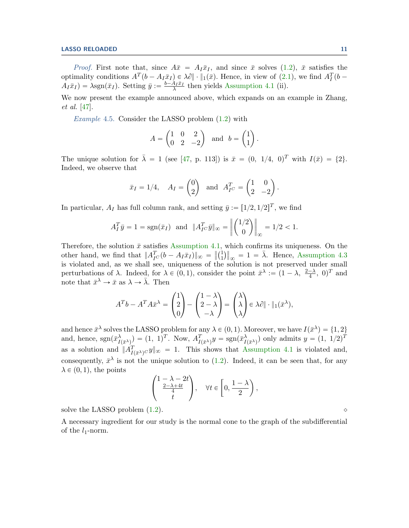*Proof.* First note that, since  $A\bar{x} = A_I\bar{x}_I$ , and since  $\bar{x}$  solves [\(1.2\)](#page-1-0),  $\bar{x}$  satisfies the optimality conditions  $A^T(b - A_I \bar{x}_I) \in \lambda \partial \|\cdot\|_1(\bar{x})$ . Hence, in view of  $(2.1)$ , we find  $A_I^T(b A_I \bar{x}_I$  =  $\lambda$ sgn $(\bar{x}_I)$ . Setting  $\bar{y} := \frac{b - A_I \bar{x}_I}{\lambda}$  then yields [Assumption 4.1](#page-9-0) (ii).

We now present the example announced above, which expands on an example in Zhang, et al. [\[47\]](#page-22-13).

<span id="page-10-0"></span>Example 4.5. Consider the LASSO problem  $(1.2)$  with

$$
A = \begin{pmatrix} 1 & 0 & 2 \\ 0 & 2 & -2 \end{pmatrix} \text{ and } b = \begin{pmatrix} 1 \\ 1 \end{pmatrix}.
$$

The unique solution for  $\bar{\lambda} = 1$  (see [\[47,](#page-22-13) p. 113]) is  $\bar{x} = (0, 1/4, 0)^T$  with  $I(\bar{x}) = \{2\}.$ Indeed, we observe that

$$
\bar{x}_I = 1/4
$$
,  $A_I = \begin{pmatrix} 0 \\ 2 \end{pmatrix}$  and  $A_{I^C}^T = \begin{pmatrix} 1 & 0 \\ 2 & -2 \end{pmatrix}$ .

In particular,  $A_I$  has full column rank, and setting  $\bar{y} := [1/2, 1/2]^T$ , we find

$$
A_I^T \bar{y} = 1 = sgn(\bar{x}_I)
$$
 and  $||A_{I^C}^T \bar{y}||_{\infty} = ||\begin{pmatrix} 1/2 \\ 0 \end{pmatrix}||_{\infty} = 1/2 < 1.$ 

Therefore, the solution  $\bar{x}$  satisfies [Assumption 4.1,](#page-9-0) which confirms its uniqueness. On the other hand, we find that  $||A_{IC}^T(b - A_I\bar{x}_I)||_{\infty} = ||\begin{pmatrix} 1 \\ 1 \end{pmatrix}||_2^2$ 1 .<br>II  $\infty = 1 = \overline{\lambda}$ . Hence, [Assumption 4.3](#page-9-2) is violated and, as we shall see, uniqueness of the solution is not preserved under small perturbations of  $\lambda$ . Indeed, for  $\lambda \in (0,1)$ , consider the point  $\bar{x}^{\lambda} := (1 - \lambda, \frac{2-\lambda}{4}, 0)^{T}$  and note that  $\bar{x}^{\lambda} \to \bar{x}$  as  $\lambda \to \bar{\lambda}$ . Then ¨ **Second Contract Contract Contract Contract Contract Contract Contract Contract Contract Contract Contract Contract Contract Contract Contract Contract Contract Contract Contract Contract Contract Contract Contract Contrac** ¨ ¨ **Second Contract Contract Contract Contract Contract Contract Contract Contract Contract Contract Contract Contract Contract Contract Contract Contract Contract Contract Contract Contract Contract Contract Contract Contrac** 

$$
A^T b - A^T A \bar{x}^{\lambda} = \begin{pmatrix} 1 \\ 2 \\ 0 \end{pmatrix} - \begin{pmatrix} 1 - \lambda \\ 2 - \lambda \\ -\lambda \end{pmatrix} = \begin{pmatrix} \lambda \\ \lambda \\ \lambda \end{pmatrix} \in \lambda \partial \|\cdot\|_1 (\bar{x}^{\lambda}),
$$

and hence  $\bar{x}^{\lambda}$  solves the LASSO problem for any  $\lambda \in (0, 1)$ . Moreover, we have  $I(\bar{x}^{\lambda}) = \{1, 2\}$ and, hence,  $sgn(\bar{x}_I^{\lambda})$  $\Lambda_{I(\bar{x}^{\lambda})}$  =  $(1, 1)^{T}$ . Now,  $A_{I(\bar{x}^{\lambda})}^{T}y = \text{sgn}(\bar{x}_{I}^{\lambda})$  $\sum_{I(\bar{x}^{\lambda})}^{\lambda}$  only admits  $y = (1, 1/2)^{T}$ as a solution and  $||A_{I(\bar{x}^{\lambda})c}^{T}y||_{\infty} = 1$ . This shows that [Assumption 4.1](#page-9-0) is violated and, consequently,  $\bar{x}^{\lambda}$  is not the unique solution to [\(1.2\)](#page-1-0). Indeed, it can be seen that, for any  $\lambda \in (0, 1)$ , the points **Second Contract Contract Contract Contract Contract Contract Contract Contract Contract Contract Contract Contract Contract Contract Contract Contract Contract Contract Contract Contract Contract Contract Contract Contrac** 

$$
\begin{pmatrix} 1-\lambda-2t \\ \frac{2-\lambda+4t}{4} \\ t \end{pmatrix}, \quad \forall t \in \left[0,\frac{1-\lambda}{2}\right),
$$

solve the LASSO problem  $(1.2)$ .

<span id="page-10-1"></span>A necessary ingredient for our study is the normal cone to the graph of the subdifferential of the  $l_1$ -norm.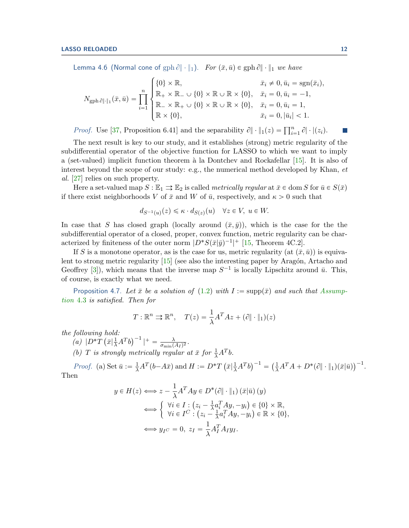Lemma 4.6 (Normal cone of  $\text{gph } \partial \|\cdot\|_1$ ).  $\textit{For } (\bar{x}, \bar{u}) \in \text{gph } \partial \|\cdot\|_1$  we have

$$
N_{\text{gph } \partial \|\cdot\|_{1}}(\bar{x}, \bar{u}) = \prod_{i=1}^{n} \begin{cases} \{0\} \times \mathbb{R}, & \bar{x}_{i} \neq 0, \bar{u}_{i} = \text{sgn}(\bar{x}_{i}), \\ \mathbb{R}_{+} \times \mathbb{R}_{-} \cup \{0\} \times \mathbb{R} \cup \mathbb{R} \times \{0\}, & \bar{x}_{i} = 0, \bar{u}_{i} = -1, \\ \mathbb{R}_{-} \times \mathbb{R}_{+} \cup \{0\} \times \mathbb{R} \cup \mathbb{R} \times \{0\}, & \bar{x}_{i} = 0, \bar{u}_{i} = 1, \\ \mathbb{R} \times \{0\}, & \bar{x}_{i} = 0, |\bar{u}_{i}| < 1. \end{cases}
$$

*Proof.* Use [\[37,](#page-22-11) Proposition 6.41] and the separability  $\partial \|\cdot\|_1(z) = \prod_{i=1}^n \partial |\cdot|(z_i)$ .

The next result is key to our study, and it establishes (strong) metric regularity of the subdifferential operator of the objective function for LASSO to which we want to imply a (set-valued) implicit function theorem à la Dontchev and Rockafellar  $[15]$ . It is also of interest beyond the scope of our study: e.g., the numerical method developed by Khan, et al. [\[27\]](#page-22-6) relies on such property.

Here a set-valued map  $S : \mathbb{E}_1 \rightrightarrows \mathbb{E}_2$  is called metrically regular at  $\bar{x} \in \text{dom } S$  for  $\bar{u} \in S(\bar{x})$ if there exist neighborhoods V of  $\bar{x}$  and W of  $\bar{u}$ , respectively, and  $\kappa > 0$  such that

$$
d_{S^{-1}(u)}(z) \leq \kappa \cdot d_{S(z)}(u) \quad \forall z \in V, \ u \in W.
$$

In case that S has closed graph (locally around  $(\bar{x}, \bar{y})$ ), which is the case for the the subdifferential operator of a closed, proper, convex function, metric regularity can be characterized by finiteness of the outer norm  $|D^*S(\bar{x}|\bar{y})^{-1}|^+$  [\[15,](#page-21-11) Theorem 4C.2].

If S is a monotone operator, as is the case for us, metric regularity (at  $(\bar{x}, \bar{u})$ ) is equiva-lent to strong metric regularity [\[15\]](#page-21-11) (see also the interesting paper by Aragón, Artacho and Geoffrey [\[3\]](#page-21-23)), which means that the inverse map  $S^{-1}$  is locally Lipschitz around  $\bar{u}$ . This, of course, is exactly what we need.

<span id="page-11-0"></span>Proposition 4.7. Let  $\bar{x}$  be a solution of [\(1.2\)](#page-1-0) with  $I := \text{supp}(\bar{x})$  and such that [Assump](#page-9-2)[tion](#page-9-2) 4.3 is satisfied. Then for

$$
T: \mathbb{R}^n \rightrightarrows \mathbb{R}^n, \quad T(z) = \frac{1}{\lambda} A^T A z + (\partial \|\cdot\|_1)(z)
$$

the following hold:

$$
following \; hold: \; (a) \; |D^*T(\bar{x}|\frac{1}{\lambda}A^Tb)^{-1}|^+ = \frac{\lambda}{\sigma_{\min}(A_I)^2}.
$$

(b) T is strongly metrically regular at  $\bar{x}$  for  $\frac{1}{\lambda}A^{T}b$ .

*Proof.* (a) Set  $\bar{u} := \frac{1}{\lambda} A^T (b - A\bar{x})$  and  $H := D^*T$  $\bar{x}$  $\left(\frac{1}{\lambda}A^Tb\right)^{-1} = \left(\frac{1}{\lambda}A^TA + D^*(\partial \|\cdot\|_1)(\bar{x}|\bar{u})\right)^{-1}.$ Then

$$
y \in H(z) \Longleftrightarrow z - \frac{1}{\lambda} A^T A y \in D^*(\partial \|\cdot\|_1) (\bar{x}|\bar{u}) (y)
$$

$$
\Longleftrightarrow \begin{cases} \forall i \in I : (z_i - \frac{1}{\lambda} a_i^T A y, -y_i) \in \{0\} \times \mathbb{R}, \\ \forall i \in I^C : (z_i - \frac{1}{\lambda} a_i^T A y, -y_i) \in \mathbb{R} \times \{0\}, \end{cases}
$$

$$
\Longleftrightarrow y_{I^C} = 0, z_I = \frac{1}{\lambda} A_I^T A_I y_I.
$$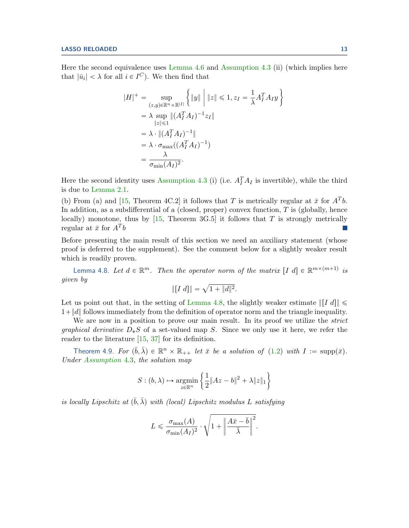Here the second equivalence uses [Lemma 4.6](#page-10-1) and [Assumption 4.3](#page-9-2) (ii) (which implies here that  $|\bar{u}_i| < \lambda$  for all  $i \in I^C$ ). We then find that

$$
|H|^{+} = \sup_{\substack{(z,y)\in\mathbb{R}^n\times\mathbb{R}^{|I|} \\ \|z\| \leq 1}} \left\{ \|y\| \mid \|z\| \leq 1, z_I = \frac{1}{\lambda} A_I^T A_I y \right\}
$$
  
=  $\lambda \sup_{\|z\| \leq 1} \|(A_I^T A_I)^{-1} z_I\|$   
=  $\lambda \cdot \|(A_I^T A_I)^{-1}\|$   
=  $\lambda \cdot \sigma_{\max}((A_I^T A_I)^{-1})$   
=  $\frac{\lambda}{\sigma_{\min}(A_I)^2}.$ 

Here the second identity uses [Assumption 4.3](#page-9-2) (i) (i.e.  $A_I^T A_I$  is invertible), while the third is due to [Lemma 2.1.](#page-3-1)

(b) From (a) and [\[15,](#page-21-11) Theorem 4C.2] it follows that T is metrically regular at  $\bar{x}$  for  $A<sup>T</sup>b$ . In addition, as a subdifferential of a (closed, proper) convex function,  $T$  is (globally, hence locally) monotone, thus by [\[15,](#page-21-11) Theorem 3G.5] it follows that T is strongly metrically regular at  $\bar{x}$  for  $A^T b$ 

Before presenting the main result of this section we need an auxiliary statement (whose proof is deferred to the supplement). See the comment below for a slightly weaker result which is readily proven.

<span id="page-12-1"></span>Lemma 4.8. Let  $d \in \mathbb{R}^m$ . Then the operator norm of the matrix  $[I \ d] \in \mathbb{R}^{m \times (m+1)}$  is given by

$$
\| [I \, d] \| = \sqrt{1 + \|d\|^2}.
$$

Let us point out that, in the setting of [Lemma 4.8,](#page-12-1) the slightly weaker estimate  $\|I d\| \leq$  $1+\|d\|$  follows immediately from the definition of operator norm and the triangle inequality.

We are now in a position to prove our main result. In its proof we utilize the *strict* graphical derivative  $D_*S$  of a set-valued map S. Since we only use it here, we refer the reader to the literature [\[15,](#page-21-11) [37\]](#page-22-11) for its definition.

<span id="page-12-0"></span>Theorem 4.9. For  $(\bar{b}, \bar{\lambda}) \in \mathbb{R}^n \times \mathbb{R}_{++}$  let  $\bar{x}$  be a solution of [\(1.2\)](#page-1-0) with  $I := \text{supp}(\bar{x})$ . Under [Assumption](#page-9-2) 4.3, the solution map

$$
S:(b,\lambda)\mapsto \underset{z\in\mathbb{R}^n}{\operatorname{argmin}}\left\{\frac{1}{2}\|Az-b\|^2+\lambda\|z\|_1\right\}
$$

is locally Lipschitz at  $(\bar{b}, \bar{\lambda})$  with (local) Lipschitz modulus L satisfying

$$
L \leqslant \frac{\sigma_{\max}(A)}{\sigma_{\min}(A_I)^2} \cdot \sqrt{1+ \left\| \frac{A\bar{x} - \bar{b}}{\bar{\lambda}} \right\|^2}.
$$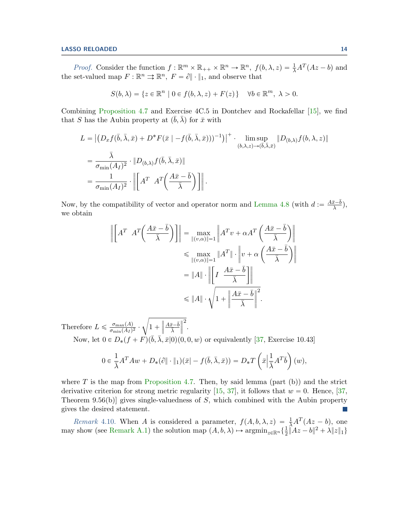## **LASSO RELOADED** 14

*Proof.* Consider the function  $f : \mathbb{R}^m \times \mathbb{R}_{++} \times \mathbb{R}^n \to \mathbb{R}^n$ ,  $f(b, \lambda, z) = \frac{1}{\lambda} A^T (Az - b)$  and the set-valued map  $F: \mathbb{R}^n \rightrightarrows \mathbb{R}^n$ ,  $F = \partial || \cdot ||_1$ , and observe that

$$
S(b,\lambda) = \{ z \in \mathbb{R}^n \mid 0 \in f(b,\lambda,z) + F(z) \} \quad \forall b \in \mathbb{R}^m, \lambda > 0.
$$

Combining [Proposition 4.7](#page-11-0) and Exercise 4C.5 in Dontchev and Rockafellar [\[15\]](#page-21-11), we find that S has the Aubin property at  $(\bar{b}, \bar{\lambda})$  for  $\bar{x}$  with

$$
L = \left| \left( D_x f(\bar{b}, \bar{\lambda}, \bar{x}) + D^* F(\bar{x} \mid -f(\bar{b}, \bar{\lambda}, \bar{x})) \right)^{-1} \right| + \limsup_{(b, \lambda, z) \to (\bar{b}, \bar{\lambda}, \bar{x})} \left\| D_{(b, \lambda)} f(b, \lambda, z) \right\|
$$
  
= 
$$
\frac{\bar{\lambda}}{\sigma_{\min}(A_I)^2} \cdot \left\| D_{(b, \lambda)} f(\bar{b}, \bar{\lambda}, \bar{x}) \right\|
$$
  
= 
$$
\frac{1}{\sigma_{\min}(A_I)^2} \cdot \left\| \left[ A^T A^T \left( \frac{A \bar{x} - \bar{b}}{\bar{\lambda}} \right) \right] \right\|.
$$

Now, by the compatibility of vector and operator norm and [Lemma 4.8](#page-12-1) (with  $d := \frac{A\bar{x} - \bar{b}}{\lambda}$  $rac{x-b}{\overline{\lambda}}$ ), we obtain

$$
\left\| \begin{bmatrix} A^T & A^T \left( \frac{A\bar{x} - \bar{b}}{\bar{\lambda}} \right) \end{bmatrix} \right\| = \max_{\|(v,\alpha)\|=1} \left\| A^T v + \alpha A^T \left( \frac{A\bar{x} - \bar{b}}{\bar{\lambda}} \right) \right\|
$$
  
\n
$$
\leq \max_{\|(v,\alpha)\|=1} \|A^T\| \cdot \left\| v + \alpha \left( \frac{A\bar{x} - \bar{b}}{\bar{\lambda}} \right) \right\|
$$
  
\n
$$
= \|A\| \cdot \left\| \begin{bmatrix} I & \frac{A\bar{x} - \bar{b}}{\bar{\lambda}} \end{bmatrix} \right\|
$$
  
\n
$$
\leq \|A\| \cdot \sqrt{1 + \left\| \frac{A\bar{x} - \bar{b}}{\bar{\lambda}} \right\|^2}.
$$

Therefore  $L \leq \frac{\sigma_{\max}(A)}{\sigma_{\min}(A_I)}$  $\frac{\sigma_{\max}(A_I)}{\sigma_{\min}(A_I)^2}$ .  $1 +$  $\sqrt{\frac{A\bar{x}-\bar{b}}{A}}$  $\overline{\lambda}$  $\overline{\parallel}^2$ . Now, let  $0 \in D_*(f + F)(\overline{b}, \overline{\lambda}, \overline{x}|0)(0, 0, w)$  or equivalently [\[37,](#page-22-11) Exercise 10.43]

$$
0 \in \frac{1}{\overline{\lambda}} A^T A w + D_* (\partial \|\cdot\|_1)(\bar{x}|-f(\bar{b}, \bar{\lambda}, \bar{x})) = D_* T \left(\bar{x} \Big| \frac{1}{\overline{\lambda}} A^T \bar{b}\right)(w),
$$

where  $T$  is the map from [Proposition 4.7.](#page-11-0) Then, by said lemma (part (b)) and the strict derivative criterion for strong metric regularity [\[15,](#page-21-11) [37\]](#page-22-11), it follows that  $w = 0$ . Hence, [\[37,](#page-22-11) Theorem 9.56(b) gives single-valuedness of  $S$ , which combined with the Aubin property gives the desired statement.  $\sim$ 

<span id="page-13-0"></span>Remark 4.10. When A is considered a parameter,  $f(A, b, \lambda, z) = \frac{1}{\lambda}A^T(Az - b)$ , one may show (see [Remark A.1\)](#page-23-0) the solution map  $(A, b, \lambda) \mapsto \operatorname{argmin}_{z \in \mathbb{R}^n} \{ \frac{1}{2} \}$  $\frac{1}{2} \|\hat{A}z - b\|^2 + \lambda \|z\|_1\}$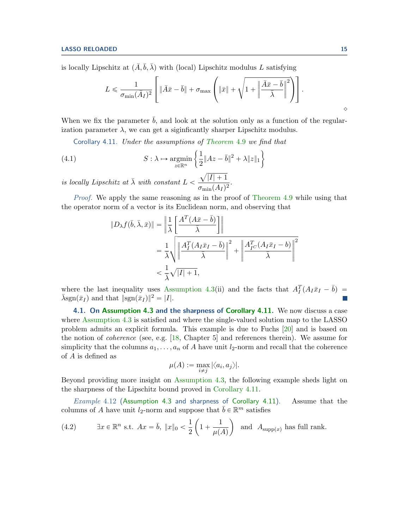is locally Lipschitz at  $(\bar{A}, \bar{b}, \bar{\lambda})$  with (local) Lipschitz modulus L satisfying  $\overline{a}$ 

$$
L \leqslant \frac{1}{\sigma_{\min}(\bar{A}_I)^2} \left[ \|\bar{A}\bar{x} - \bar{b}\| + \sigma_{\max} \left( \|\bar{x}\| + \sqrt{1 + \left\|\frac{\bar{A}\bar{x} - \bar{b}}{\bar{\lambda}}\right\|^2} \right) \right].
$$

When we fix the parameter  $\bar{b}$ , and look at the solution only as a function of the regularization parameter  $\lambda$ , we can get a siginficantly sharper Lipschitz modulus.

<span id="page-14-1"></span>Corollary 4.11. Under the assumptions of [Theorem](#page-12-0)  $4.9$  we find that

(4.1) 
$$
S: \lambda \mapsto \underset{z \in \mathbb{R}^n}{\operatorname{argmin}} \left\{ \frac{1}{2} \|Az - \bar{b}\|^2 + \lambda \|z\|_1 \right\}
$$

is locally Lipschitz at  $\bar{\lambda}$  with constant  $L <$  $|I| + 1$  $\frac{\sqrt{|P|+1}}{\sigma_{\min}(A_I)^2}.$ 

Proof. We apply the same reasoning as in the proof of [Theorem 4.9](#page-12-0) while using that the operator norm of a vector is its Euclidean norm, and observing that › " ›

<span id="page-14-3"></span>
$$
\|D_{\lambda}f(\bar{b},\bar{\lambda},\bar{x})\| = \left\|\frac{1}{\bar{\lambda}}\left[\frac{A^{T}(A\bar{x}-\bar{b})}{\bar{\lambda}}\right]\right\|
$$
  

$$
= \frac{1}{\bar{\lambda}}\sqrt{\left\|\frac{A_{I}^{T}(A_{I}\bar{x}_{I}-\bar{b})}{\bar{\lambda}}\right\|^{2} + \left\|\frac{A_{I\bar{C}}^{T}(A_{I}\bar{x}_{I}-\bar{b})}{\bar{\lambda}}\right\|^{2}}
$$
  

$$
< \frac{1}{\bar{\lambda}}\sqrt{|I|+1},
$$

where the last inequality uses [Assumption 4.3\(](#page-9-2)ii) and the facts that  $A_I^T (A_I \bar{x}_I - \bar{b})$  $\bar{\lambda}$ sgn $(\bar{x}_I)$  and that  $||\text{sgn}(\bar{x}_I)||^2 = |I|.$ 

4.1. On [Assumption 4.3](#page-9-2) and the sharpness of [Corollary 4.11.](#page-14-1) We now discuss a case where [Assumption 4.3](#page-9-2) is satisfied and where the single-valued solution map to the LASSO problem admits an explicit formula. This example is due to Fuchs [\[20\]](#page-21-12) and is based on the notion of coherence (see, e.g. [\[18,](#page-21-5) Chapter 5] and references therein). We assume for simplicity that the columns  $a_1, \ldots, a_n$  of A have unit  $l_2$ -norm and recall that the coherence of A is defined as

<span id="page-14-0"></span>
$$
\mu(A) := \max_{i \neq j} |\langle a_i, a_j \rangle|.
$$

Beyond providing more insight on [Assumption 4.3,](#page-9-2) the following example sheds light on the sharpness of the Lipschitz bound proved in [Corollary 4.11.](#page-14-1)

Example 4.12 [\(Assumption 4.3](#page-9-2) and sharpness of [Corollary 4.11\)](#page-14-1). Assume that the columns of A have unit  $l_2$ -norm and suppose that  $\bar{b} \in \mathbb{R}^m$  satisfies

<span id="page-14-2"></span>(4.2) 
$$
\exists x \in \mathbb{R}^n \text{ s.t. } Ax = \overline{b}, \|x\|_0 < \frac{1}{2} \left( 1 + \frac{1}{\mu(A)} \right) \text{ and } A_{\text{supp}(x)} \text{ has full rank.}
$$

 $\Diamond$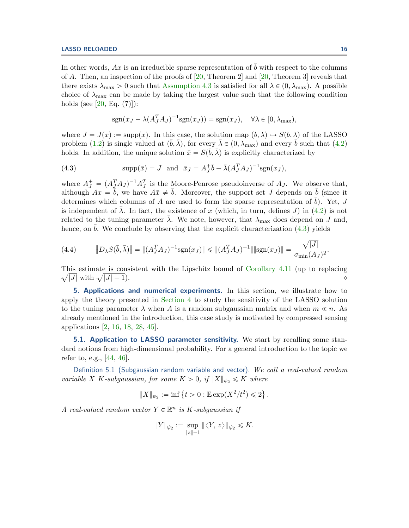In other words, Ax is an irreducible sparse representation of  $\bar{b}$  with respect to the columns of A. Then, an inspection of the proofs of  $[20,$  Theorem 2 and  $[20,$  Theorem 3 reveals that there exists  $\lambda_{\text{max}} > 0$  such that [Assumption 4.3](#page-9-2) is satisfied for all  $\lambda \in (0, \lambda_{\text{max}})$ . A possible choice of  $\lambda_{\text{max}}$  can be made by taking the largest value such that the following condition holds (see [\[20,](#page-21-12) Eq.  $(7)$ ]):

<span id="page-15-1"></span>
$$
sgn(x_J - \lambda (A_J^T A_J)^{-1} sgn(x_J)) = sgn(x_J), \quad \forall \lambda \in [0, \lambda_{\max}),
$$

where  $J = J(x) := \text{supp}(x)$ . In this case, the solution map  $(b, \lambda) \rightarrow S(b, \lambda)$  of the LASSO problem [\(1.2\)](#page-1-0) is single valued at  $(\bar{b}, \bar{\lambda})$ , for every  $\bar{\lambda} \in (0, \lambda_{\max})$  and every  $\bar{b}$  such that [\(4.2\)](#page-14-2) holds. In addition, the unique solution  $\bar{x} = S(\bar{b}, \bar{\lambda})$  is explicitly characterized by

(4.3) 
$$
\text{supp}(\bar{x}) = J \text{ and } \bar{x}_J = A_J^+ \bar{b} - \bar{\lambda} (A_J^T A_J)^{-1} \text{sgn}(x_J),
$$

where  $A_J^+ = (A_J^T A_J)^{-1} A_J^T$  is the Moore-Penrose pseudoinverse of  $A_J$ . We observe that, although  $Ax = \bar{b}$ , we have  $A\bar{x} \neq \bar{b}$ . Moreover, the support set J depends on  $\bar{b}$  (since it determines which columns of A are used to form the sparse representation of  $b$ ). Yet, J is independent of  $\lambda$ . In fact, the existence of x (which, in turn, defines J) in [\(4.2\)](#page-14-2) is not related to the tuning parameter  $\lambda$ . We note, however, that  $\lambda_{\text{max}}$  does depend on J and, hence, on  $\bar{b}$ . We conclude by observing that the explicit characterization [\(4.3\)](#page-15-1) yields

(4.4) 
$$
\|D_{\lambda}S(\bar{b},\bar{\lambda})\| = \|(A_J^T A_J)^{-1}\text{sgn}(x_J)\| \leq \|(A_J^T A_J)^{-1}\| \|\text{sgn}(x_J)\| = \frac{\sqrt{|J|}}{\sigma_{\min}(A_J)^2}.
$$

This estimate is consistent with the Lipschitz bound of [Corollary 4.11](#page-14-1) (up to replacing  $\sqrt{|J|}$  with  $\sqrt{|J|+1}$ .  $|J| + 1$ ).

<span id="page-15-0"></span>5. Applications and numerical experiments. In this section, we illustrate how to apply the theory presented in [Section 4](#page-9-1) to study the sensitivity of the LASSO solution to the tuning parameter  $\lambda$  when A is a random subgaussian matrix and when  $m \ll n$ . As already mentioned in the introduction, this case study is motivated by compressed sensing applications [\[2,](#page-21-3) [16,](#page-21-4) [18,](#page-21-5) [28,](#page-22-0) [45\]](#page-22-1).

<span id="page-15-2"></span>**5.1. Application to LASSO parameter sensitivity.** We start by recalling some standard notions from high-dimensional probability. For a general introduction to the topic we refer to, e.g., [\[44,](#page-22-19) [46\]](#page-22-20).

Definition 5.1 (Subgaussian random variable and vector). We call a real-valued random variable X K-subgaussian, for some  $K > 0$ , if  $||X||_{\psi_2} \leqslant K$  where

$$
||X||_{\psi_2} := \inf \{ t > 0 : \mathbb{E} \exp(X^2/t^2) \leq 2 \}.
$$

A real-valued random vector  $Y \in \mathbb{R}^n$  is K-subgaussian if

$$
\|Y\|_{\psi_2}:=\sup_{\|z\|=1}\|\langle Y,\,z\rangle\,\|_{\psi_2}\leqslant K.
$$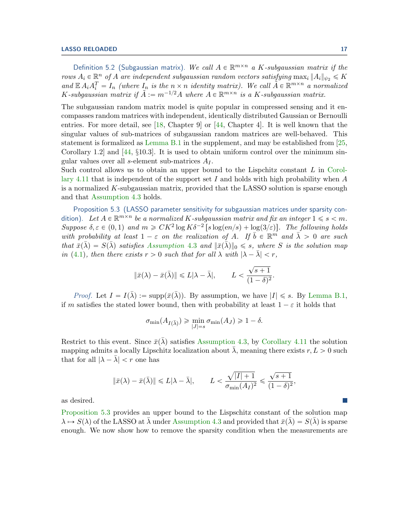Definition 5.2 (Subgaussian matrix). We call  $A \in \mathbb{R}^{m \times n}$  a K-subgaussian matrix if the rows  $A_i \in \mathbb{R}^n$  of A are independent subgaussian random vectors satisfying  $\max_i \|A_i\|_{\psi_2} \le K$ and  $\mathbb{E} A_i A_i^T = I_n$  (where  $I_n$  is the  $n \times n$  identity matrix). We call  $\tilde{A} \in \mathbb{R}^{m \times n}$  a normalized K-subgaussian matrix if  $\tilde{A} := m^{-1/2}A$  where  $A \in \mathbb{R}^{m \times n}$  is a K-subgaussian matrix.

The subgaussian random matrix model is quite popular in compressed sensing and it encompasses random matrices with independent, identically distributed Gaussian or Bernoulli entries. For more detail, see [\[18,](#page-21-5) Chapter 9] or  $[44,$  Chapter 4]. It is well known that the singular values of sub-matrices of subgaussian random matrices are well-behaved. This statement is formalized as [Lemma B.1](#page-24-0) in the supplement, and may be established from [\[25,](#page-22-21) Corollary 1.2] and [\[44,](#page-22-19) §10.3]. It is used to obtain uniform control over the minimum singular values over all s-element sub-matrices  $A_I$ .

Such control allows us to obtain an upper bound to the Lispchitz constant  $L$  in [Corol](#page-14-1)[lary 4.11](#page-14-1) that is independent of the support set I and holds with high probability when  $A$ is a normalized  $K$ -subgaussian matrix, provided that the LASSO solution is sparse enough and that [Assumption 4.3](#page-9-2) holds.

<span id="page-16-0"></span>Proposition 5.3 (LASSO parameter sensitivity for subgaussian matrices under sparsity condition). Let  $A \in \mathbb{R}^{m \times n}$  be a normalized K-subgaussian matrix and fix an integer  $1 \leqslant s < m$ . Suppose  $\delta, \varepsilon \in (0, 1)$  and  $m \geqslant C K^2 \log K \delta^{-2} \left[ s \log(en/s) + \log(3/\varepsilon) \right]$ . The following holds with probability at least  $1 - \varepsilon$  on the realization of A. If  $\overline{b} \in \mathbb{R}^m$  and  $\overline{\lambda} > 0$  are such that  $\bar{x}(\bar{\lambda}) = S(\bar{\lambda})$  satisfies [Assumption](#page-9-2) 4.3 and  $\|\bar{x}(\bar{\lambda})\|_0 \leq s$ , where S is the solution map in [\(4.1\)](#page-14-3), then there exists  $r > 0$  such that for all  $\lambda$  with  $|\lambda - \overline{\lambda}| < r$ ,

$$
\|\bar{x}(\lambda) - \bar{x}(\bar{\lambda})\| \le L|\lambda - \bar{\lambda}|, \qquad L < \frac{\sqrt{s+1}}{(1-\delta)^2}.
$$

*Proof.* Let  $I = I(\bar{\lambda}) := \text{supp}(\bar{x}(\bar{\lambda}))$ . By assumption, we have  $|I| \leq s$ . By [Lemma B.1,](#page-24-0) if m satisfies the stated lower bound, then with probability at least  $1 - \varepsilon$  it holds that

$$
\sigma_{\min}(A_{I(\bar{\lambda})}) \geq \min_{|J|=s} \sigma_{\min}(A_J) \geq 1-\delta.
$$

Restrict to this event. Since  $\bar{x}(\bar{\lambda})$  satisfies [Assumption 4.3,](#page-9-2) by [Corollary 4.11](#page-14-1) the solution mapping admits a locally Lipschitz localization about  $\lambda$ , meaning there exists  $r, L > 0$  such that for all  $|\lambda - \overline{\lambda}| < r$  one has

$$
\|\bar{x}(\lambda)-\bar{x}(\bar{\lambda})\|\leq L|\lambda-\bar{\lambda}|, \qquad L<\frac{\sqrt{|I|+1}}{\sigma_{\min}(A_I)^2}\leqslant \frac{\sqrt{s+1}}{(1-\delta)^2},
$$

as desired.

[Proposition 5.3](#page-16-0) provides an upper bound to the Lispschitz constant of the solution map  $\lambda \mapsto S(\lambda)$  of the LASSO at  $\lambda$  under [Assumption 4.3](#page-9-2) and provided that  $\bar{x}(\lambda) = S(\lambda)$  is sparse enough. We now show how to remove the sparsity condition when the measurements are

 $\mathbb{R}^n$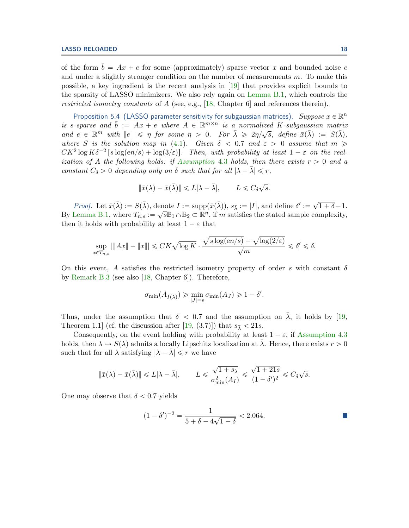of the form  $b = Ax + e$  for some (approximately) sparse vector x and bounded noise e and under a slightly stronger condition on the number of measurements m. To make this possible, a key ingredient is the recent analysis in [\[19\]](#page-21-15) that provides explicit bounds to the sparsity of LASSO minimizers. We also rely again on [Lemma B.1,](#page-24-0) which controls the restricted isometry constants of A (see, e.g., [\[18,](#page-21-5) Chapter 6] and references therein).

<span id="page-17-0"></span>Proposition 5.4 (LASSO parameter sensitivity for subgaussian matrices). Suppose  $x \in \mathbb{R}^n$ is s-sparse and  $\bar{b} := Ax + e$  where  $A \in \mathbb{R}^{m \times n}$  is a normalized K-subgaussian matrix and  $e \in \mathbb{R}^m$  with  $||e|| \leq \eta$  for some  $\eta > 0$ . For  $\bar{\lambda} \geq 2\eta/\sqrt{s}$ , define  $\bar{x}(\bar{\lambda}) := S(\bar{\lambda})$ , where S is the solution map in [\(4.1\)](#page-14-3). Given  $\delta$  < 0.7 and  $\varepsilon > 0$  assume that  $m \geqslant$  $CK^2 \log K \delta^{-2} \left[ s \log(en/s) + \log(3/\varepsilon) \right]$ . Then, with probability at least  $1-\varepsilon$  on the real-ization of A the following holds: if [Assumption](#page-9-2) 4.3 holds, then there exists  $r > 0$  and a constant  $C_{\delta} > 0$  depending only on  $\delta$  such that for all  $|\lambda - \overline{\lambda}| \leq r$ ,

$$
\|\bar{x}(\lambda) - \bar{x}(\bar{\lambda})\| \le L|\lambda - \bar{\lambda}|, \qquad L \le C_{\delta}\sqrt{s}.
$$

*Proof.* Let  $\bar{x}(\bar{\lambda}) := S(\bar{\lambda})$ , denote  $I := \text{supp}(\bar{x}(\bar{\lambda}))$ ,  $s_{\bar{\lambda}} := |I|$ , and define  $\delta' :=$  $\overline{\phantom{a}}$  $1 + \delta - 1.$ By [Lemma B.1,](#page-24-0) where  $T_{n,s} := \sqrt{s} \mathbb{B}_1 \cap \mathbb{B}_2 \subset \mathbb{R}^n$ , if m satisfies the stated sample complexity, then it holds with probability at least  $1 - \varepsilon$  that

$$
\sup_{x \in T_{n,s}} |\|Ax\| - \|x\|| \leq CK\sqrt{\log K}\cdot \frac{\sqrt{s\log(en/s)}+\sqrt{\log(2/\varepsilon)}}{\sqrt{m}} \leqslant \delta' \leqslant \delta.
$$

On this event, A satisfies the restricted isometry property of order s with constant  $\delta$ by [Remark B.3](#page-25-0) (see also [\[18,](#page-21-5) Chapter 6]). Therefore,

$$
\sigma_{\min}(A_{I(\bar{\lambda})}) \geq \min_{|J|=s} \sigma_{\min}(A_J) \geq 1 - \delta'.
$$

Thus, under the assumption that  $\delta$  < 0.7 and the assumption on  $\lambda$ , it holds by [\[19,](#page-21-15) Theorem 1.1 (cf. the discussion after [\[19,](#page-21-15) (3.7)]) that  $s_{\bar{\lambda}} < 21s$ .

Consequently, on the event holding with probability at least  $1 - \varepsilon$ , if [Assumption 4.3](#page-9-2) holds, then  $\lambda \mapsto S(\lambda)$  admits a locally Lipschitz localization at  $\lambda$ . Hence, there exists  $r > 0$ such that for all  $\lambda$  satisfying  $|\lambda - \overline{\lambda}| \leq r$  we have

$$
\|\bar{x}(\lambda) - \bar{x}(\bar{\lambda})\| \le L|\lambda - \bar{\lambda}|, \qquad L \le \frac{\sqrt{1+s_{\lambda}}}{\sigma_{\min}^2(A_I)} \le \frac{\sqrt{1+21s}}{(1-\delta')^2} \le C_{\delta}\sqrt{s}.
$$

One may observe that  $\delta < 0.7$  yields

$$
(1 - \delta')^{-2} = \frac{1}{5 + \delta - 4\sqrt{1 + \delta}} < 2.064.
$$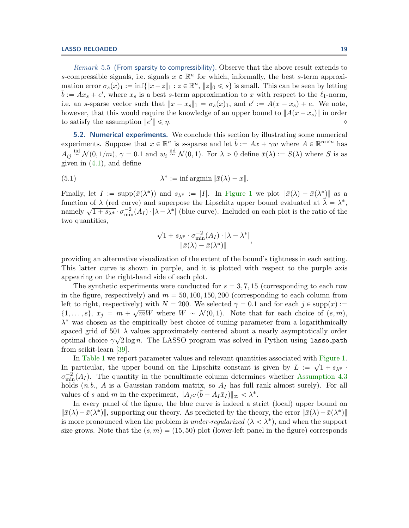Remark 5.5 (From sparsity to compressibility). Observe that the above result extends to s-compressible signals, i.e. signals  $x \in \mathbb{R}^n$  for which, informally, the best s-term approximation error  $\sigma_s(x)_1 := \inf\{\|x-z\|_1 : z \in \mathbb{R}^n, \|z\|_0 \leq s\}$  is small. This can be seen by letting  $\bar{b} := Ax_s + e'$ , where  $x_s$  is a best s-term approximation to x with respect to the  $\ell_1$ -norm, i.e. an s-sparse vector such that  $||x - x_s||_1 = \sigma_s(x)_1$ , and  $e' := A(x - x_s) + e$ . We note, however, that this would require the knowledge of an upper bound to  $||A(x-x<sub>s</sub>)||$  in order to satisfy the assumption  $||e'||$  $\Vert \leqslant \eta$ .

<span id="page-18-0"></span>**5.2. Numerical experiments.** We conclude this section by illustrating some numerical experiments. Suppose that  $x \in \mathbb{R}^n$  is s-sparse and let  $\bar{b} := Ax + \gamma w$  where  $A \in \mathbb{R}^{m \times n}$  has  $A_{ij} \overset{\text{iid}}{\sim} \mathcal{N}(0, 1/m)$ ,  $\gamma = 0.1$  and  $w_i \overset{\text{iid}}{\sim} \mathcal{N}(0, 1)$ . For  $\lambda > 0$  define  $\bar{x}(\lambda) := S(\lambda)$  where S is as given in [\(4.1\)](#page-14-3), and define

<span id="page-18-1"></span>(5.1) 
$$
\lambda^* := \inf \operatorname{argmin} \|\bar{x}(\lambda) - x\|.
$$

Finally, let  $I := \text{supp}(\bar{x}(\lambda^*))$  and  $s_{\lambda^*} := |I|$ . In [Figure 1](#page-19-1) we plot  $\|\bar{x}(\lambda) - \bar{x}(\lambda^*)\|$  as a function of  $\lambda$  (red curve) and superpose the Lipschitz upper bound evaluated at  $\bar{\lambda} = \lambda^*$ , namely  $\sqrt{1 + s_{\lambda^*}} \cdot \sigma_{\min}^{-2}(A_I) \cdot |\lambda - \lambda^*|$  (blue curve). Included on each plot is the ratio of the two quantities,

$$
\frac{\sqrt{1+s_{\lambda^*}}\cdot \sigma_{\min}^{-2}(A_I)\cdot |\lambda-\lambda^*|}{\|\bar{x}(\lambda)-\bar{x}(\lambda^*)\|},
$$

providing an alternative visualization of the extent of the bound's tightness in each setting. This latter curve is shown in purple, and it is plotted with respect to the purple axis appearing on the right-hand side of each plot.

The synthetic experiments were conducted for  $s = 3, 7, 15$  (corresponding to each row in the figure, respectively) and  $m = 50, 100, 150, 200$  (corresponding to each column from left to right, respectively) with  $N = 200$ . We selected  $\gamma = 0.1$  and for each  $j \in \text{supp}(x) :=$  $\{1, \ldots, s\}, x_j = m + \sqrt{m}W$  where  $W \sim \mathcal{N}(0, 1)$ . Note that for each choice of  $(s, m)$ ,  $\lambda^*$  was chosen as the empirically best choice of tuning parameter from a logarithmically spaced grid of 501  $\lambda$  values approximately centered about a nearly asymptotically order optimal choice  $\gamma \sqrt{2 \log n}$ . The LASSO program was solved in Python using lasso-path from scikit-learn [\[39\]](#page-22-22).

In [Table 1](#page-20-0) we report parameter values and relevant quantities associated with [Figure 1.](#page-19-1) In particular, the upper bound on the Lipschitz constant is given by  $L := \sqrt{1 + s_{\lambda^*}}$ .  $\sigma_{\min}^{-2}(A_I)$ . The quantity in the penultimate column determines whether [Assumption 4.3](#page-9-2) holds  $(n.b., A$  is a Gaussian random matrix, so  $A_I$  has full rank almost surely). For all values of s and m in the experiment,  $||A_{I}C(\bar{b} - A_{I}\bar{x}_{I})||_{\infty} < \lambda^*$ .

In every panel of the figure, the blue curve is indeed a strict (local) upper bound on  $\|\bar{x}(\lambda) - \bar{x}(\lambda^*)\|$ , supporting our theory. As predicted by the theory, the error  $\|\bar{x}(\lambda) - \bar{x}(\lambda^*)\|$ is more pronounced when the problem is *under-regularized*  $(\lambda < \lambda^*)$ , and when the support size grows. Note that the  $(s, m) = (15, 50)$  plot (lower-left panel in the figure) corresponds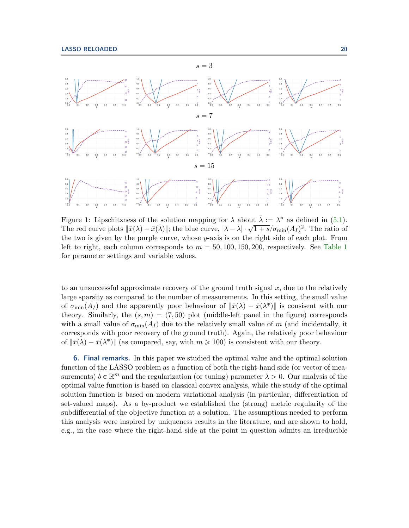<span id="page-19-1"></span>

Figure 1: Lipschitzness of the solution mapping for  $\lambda$  about  $\bar{\lambda} := \lambda^*$  as defined in [\(5.1\)](#page-18-1). The red curve plots  $\|\bar{x}(\lambda) - \bar{x}(\bar{\lambda})\|$ ; the blue curve,  $|\lambda - \bar{\lambda}| \cdot \sqrt{1 + s}/\sigma_{\min}(A_I)^2$ . The ratio of the two is given by the purple curve, whose y-axis is on the right side of each plot. From left to right, each column corresponds to  $m = 50, 100, 150, 200$ , respectively. See [Table 1](#page-20-0) for parameter settings and variable values.

to an unsuccessful approximate recovery of the ground truth signal  $x$ , due to the relatively large sparsity as compared to the number of measurements. In this setting, the small value of  $\sigma_{\min}(A_I)$  and the apparently poor behaviour of  $\|\bar{x}(\lambda) - \bar{x}(\lambda^*)\|$  is consisent with our theory. Similarly, the  $(s, m) = (7, 50)$  plot (middle-left panel in the figure) corresponds with a small value of  $\sigma_{\min}(A_I)$  due to the relatively small value of m (and incidentally, it corresponds with poor recovery of the ground truth). Again, the relatively poor behaviour of  $\|\bar{x}(\lambda) - \bar{x}(\lambda^*)\|$  (as compared, say, with  $m \ge 100$ ) is consistent with our theory.

<span id="page-19-0"></span>6. Final remarks. In this paper we studied the optimal value and the optimal solution function of the LASSO problem as a function of both the right-hand side (or vector of measurements)  $b \in \mathbb{R}^m$  and the regularization (or tuning) parameter  $\lambda > 0$ . Our analysis of the optimal value function is based on classical convex analysis, while the study of the optimal solution function is based on modern variational analysis (in particular, differentiation of set-valued maps). As a by-product we established the (strong) metric regularity of the subdifferential of the objective function at a solution. The assumptions needed to perform this analysis were inspired by uniqueness results in the literature, and are shown to hold, e.g., in the case where the right-hand side at the point in question admits an irreducible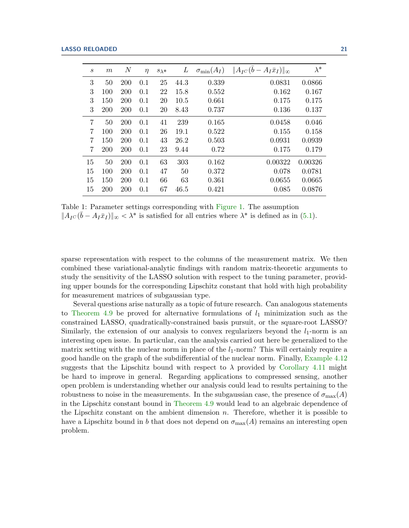<span id="page-20-0"></span>

| $\mathcal{S}_{0}$ | m          | $\,N$      | $\eta$ | $s_\lambda*$ | L    | $\sigma_{\min}(A_I)$ | $  A_{I}C(\bar{b}-A_{I}\bar{x}_{I})  _{\infty}$ | $\lambda^*$ |
|-------------------|------------|------------|--------|--------------|------|----------------------|-------------------------------------------------|-------------|
| 3                 | 50         | <b>200</b> | 0.1    | 25           | 44.3 | 0.339                | 0.0831                                          | 0.0866      |
| 3                 | 100        | <b>200</b> | 0.1    | 22           | 15.8 | 0.552                | 0.162                                           | 0.167       |
| 3                 | 150        | 200        | 0.1    | 20           | 10.5 | 0.661                | 0.175                                           | 0.175       |
| 3                 | <b>200</b> | <b>200</b> | 0.1    | 20           | 8.43 | 0.737                | 0.136                                           | 0.137       |
| 7                 | 50         | <b>200</b> | 0.1    | 41           | 239  | 0.165                | 0.0458                                          | 0.046       |
| 7                 | 100        | 200        | 0.1    | 26           | 19.1 | 0.522                | 0.155                                           | 0.158       |
| 7                 | 150        | 200        | 0.1    | 43           | 26.2 | 0.503                | 0.0931                                          | 0.0939      |
| $\overline{7}$    | <b>200</b> | 200        | 0.1    | 23           | 9.44 | 0.72                 | 0.175                                           | 0.179       |
| 15                | 50         | <b>200</b> | 0.1    | 63           | 303  | 0.162                | 0.00322                                         | 0.00326     |
| 15                | 100        | <b>200</b> | 0.1    | 47           | 50   | 0.372                | 0.078                                           | 0.0781      |
| 15                | 150        | <b>200</b> | 0.1    | 66           | 63   | 0.361                | 0.0655                                          | 0.0665      |
| 15                | 200        | 200        | 0.1    | 67           | 46.5 | 0.421                | 0.085                                           | 0.0876      |

Table 1: Parameter settings corresponding with [Figure 1.](#page-19-1) The assumption  $||A_{IC}(\bar{b} - A_I \bar{x}_I)||_{\infty} < \lambda^*$  is satisfied for all entries where  $\lambda^*$  is defined as in [\(5.1\)](#page-18-1).

sparse representation with respect to the columns of the measurement matrix. We then combined these variational-analytic findings with random matrix-theoretic arguments to study the sensitivity of the LASSO solution with respect to the tuning parameter, providing upper bounds for the corresponding Lipschitz constant that hold with high probability for measurement matrices of subgaussian type.

Several questions arise naturally as a topic of future research. Can analogous statements to [Theorem 4.9](#page-12-0) be proved for alternative formulations of  $l_1$  minimization such as the constrained LASSO, quadratically-constrained basis pursuit, or the square-root LASSO? Similarly, the extension of our analysis to convex regularizers beyond the  $l_1$ -norm is an interesting open issue. In particular, can the analysis carried out here be generalized to the matrix setting with the nuclear norm in place of the  $l_1$ -norm? This will certainly require a good handle on the graph of the subdifferential of the nuclear norm. Finally, [Example 4.12](#page-14-0) suggests that the Lipschitz bound with respect to  $\lambda$  provided by [Corollary 4.11](#page-14-1) might be hard to improve in general. Regarding applications to compressed sensing, another open problem is understanding whether our analysis could lead to results pertaining to the robustness to noise in the measurements. In the subgaussian case, the presence of  $\sigma_{\text{max}}(A)$ in the Lipschitz constant bound in [Theorem 4.9](#page-12-0) would lead to an algebraic dependence of the Lipschitz constant on the ambient dimension  $n$ . Therefore, whether it is possible to have a Lipschitz bound in b that does not depend on  $\sigma_{\text{max}}(A)$  remains an interesting open problem.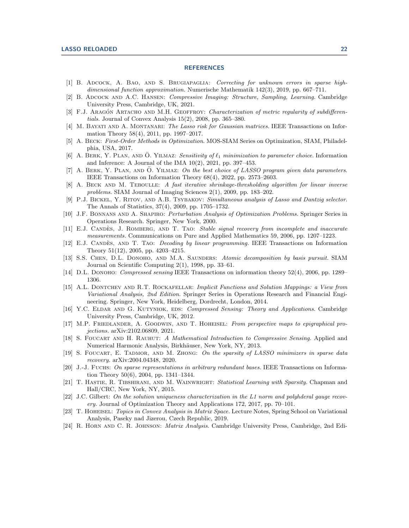## **REFERENCES**

- <span id="page-21-14"></span>[1] B. Adcock, A. Bao, and S. Brugiapaglia: Correcting for unknown errors in sparse highdimensional function approximation. Numerische Mathematik 142(3), 2019, pp. 667–711.
- <span id="page-21-3"></span>[2] B. Adcock and A.C. Hansen: Compressive Imaging: Structure, Sampling, Learning. Cambridge University Press, Cambridge, UK, 2021.
- <span id="page-21-23"></span>[3] F.J. ARAGÓN ARTACHO AND M.H. GEOFFROY: *Characterization of metric regularity of subdifferen*tials. Journal of Convex Analysis 15(2), 2008, pp. 365–380.
- <span id="page-21-17"></span>[4] M. BAYATI AND A. MONTANARI: The Lasso risk for Gaussian matrices. IEEE Transactions on Information Theory 58(4), 2011, pp. 1997–2017.
- <span id="page-21-9"></span>[5] A. Beck: First-Order Methods in Optimization. MOS-SIAM Series on Optimization, SIAM, Philadelphia, USA, 2017.
- <span id="page-21-18"></span>[6] A. BERK, Y. PLAN, AND O. YILMAZ: Sensitivity of  $\ell_1$  minimization to parameter choice. Information and Inference: A Journal of the IMA  $10(2)$ ,  $2021$ , pp. 397–453.
- <span id="page-21-19"></span>[7] A. BERK, Y. PLAN, AND O. YILMAZ: On the best choice of LASSO program given data parameters. IEEE Transactions on Information Theory 68(4), 2022, pp. 2573–2603.
- <span id="page-21-8"></span>[8] A. BECK AND M. TEBOULLE: A fast iterative shrinkage-thresholding algorithm for linear inverse problems. SIAM Journal of Imaging Sciences 2(1), 2009, pp. 183–202.
- <span id="page-21-16"></span>[9] P.J. BICKEL, Y. RITOV, AND A.B. TSYBAKOV: Simultaneous analysis of Lasso and Dantzig selector. The Annals of Statistics, 37(4), 2009, pp. 1705–1732.
- <span id="page-21-10"></span>[10] J.F. Bonnans and A. Shapiro: Perturbation Analysis of Optimization Problems. Springer Series in Operations Research. Springer, New York, 2000.
- <span id="page-21-1"></span>[11] E.J. CANDES, J. ROMBERG, AND T. TAO: Stable signal recovery from incomplete and inaccurate measurements. Communications on Pure and Applied Mathematics 59, 2006, pp. 1207–1223.
- <span id="page-21-2"></span>[12] E.J. CANDES, AND T. TAO: *Decoding by linear programming*. IEEE Transactions on Information Theory 51(12), 2005, pp. 4203–4215.
- <span id="page-21-7"></span>[13] S.S. CHEN, D.L. DONOHO, AND M.A. SAUNDERS: *Atomic decomposition by basis pursuit.* SIAM Journal on Scientific Computing 2(1), 1998, pp. 33–61.
- <span id="page-21-0"></span>[14] D.L. DONOHO: *Compressed sensing* IEEE Transactions on information theory 52(4), 2006, pp. 1289– 1306.
- <span id="page-21-11"></span>[15] A.L. Dontchev and R.T. Rockafellar: Implicit Functions and Solution Mappings: a View from Variational Analysis, 2nd Edition. Springer Series in Operations Research and Financial Engineering. Springer, New York, Heidelberg, Dordrecht, London, 2014.
- <span id="page-21-4"></span>[16] Y.C. ELDAR AND G. KUTYNIOK, EDS: *Compressed Sensing: Theory and Applications*. Cambridge University Press, Cambridge, UK, 2012.
- <span id="page-21-22"></span>[17] M.P. FRIEDLANDER, A. GOODWIN, AND T. HOHEISEL: From perspective maps to epigraphical projections. arXiv:2102.06809, 2021.
- <span id="page-21-5"></span>[18] S. FOUCART AND H. RAUHUT: A Mathematical Introduction to Compressive Sensing. Applied and Numerical Harmonic Analysis, Birkhäuser, New York, NY, 2013.
- <span id="page-21-15"></span>[19] S. FOUCART, E. TADMOR, AND M. ZHONG: On the sparsity of LASSO minimizers in sparse data recovery. arXiv:2004.04348, 2020.
- <span id="page-21-12"></span>[20] J.-J. FUCHS: On sparse representations in arbitrary redundant bases. IEEE Transactions on Information Theory 50(6), 2004, pp. 1341–1344.
- <span id="page-21-6"></span>[21] T. HASTIE, R. TIBSHIRANI, AND M. WAINWRIGHT: Statistical Learning with Sparsity. Chapman and Hall/CRC, New York, NY, 2015.
- <span id="page-21-13"></span>[22] J.C. Gilbert: On the solution uniqueness characterization in the L1 norm and polyhderal gauge recovery. Journal of Optimization Theory and Applications 172, 2017, pp. 70–101.
- <span id="page-21-21"></span>[23] T. Hoheisel: Topics in Convex Analysis in Matrix Space. Lecture Notes, Spring School on Variational Analysis, Paseky nad Jizerou, Czech Republic, 2019.
- <span id="page-21-20"></span>[24] R. Horn and C. R. Johnson: Matrix Analysis. Cambridge University Press, Cambridge, 2nd Edi-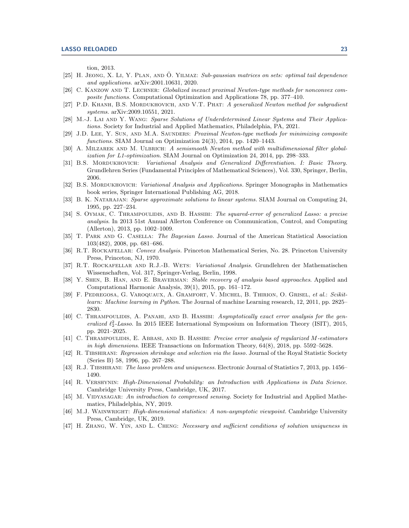tion, 2013.

- <span id="page-22-21"></span>[25] H. JEONG, X. LI, Y. PLAN, AND O. YILMAZ: Sub-gaussian matrices on sets: optimal tail dependence and applications. arXiv:2001.10631, 2020.
- <span id="page-22-7"></span>[26] C. KANZOW AND T. LECHNER: Globalized inexact proximal Newton-type methods for nonconvex composite functions. Computational Optimization and Applications 78, pp. 377–410.
- <span id="page-22-6"></span>[27] P.D. KHANH, B.S. MORDUKHOVICH, AND V.T. PHAT: A generalized Newton method for subgradient systems. arXiv:2009.10551, 2021.
- <span id="page-22-0"></span>[28] M.-J. Lai and Y. Wang: Sparse Solutions of Underdetermined Linear Systems and Their Applications. Society for Industrial and Applied Mathematics, Philadelphia, PA, 2021.
- <span id="page-22-5"></span>[29] J.D. LEE, Y. SUN, AND M.A. SAUNDERS: Proximal Newton-type methods for minimizing composite functions. SIAM Journal on Optimization 24(3), 2014, pp. 1420–1443.
- <span id="page-22-8"></span>[30] A. Milzarek and M. Ulbrich: A semismooth Newton method with multidimensional filter globalization for L1-optimization. SIAM Journal on Optimization 24, 2014, pp. 298–333.
- <span id="page-22-9"></span>[31] B.S. MORDUKHOVICH: Variational Analysis and Generalized Differentiation. I: Basic Theory. Grundlehren Series (Fundamental Principles of Mathematical Sciences), Vol. 330, Springer, Berlin, 2006.
- <span id="page-22-10"></span>[32] B.S. MORDUKHOVICH: *Variational Analysis and Applications*. Springer Monographs in Mathematics book series, Springer International Publishing AG, 2018.
- <span id="page-22-2"></span>[33] B. K. NATARAJAN: Sparse approximate solutions to linear systems. SIAM Journal on Computing 24, 1995, pp. 227–234.
- <span id="page-22-15"></span>[34] S. OYMAK, C. THRAMPOULIDIS, AND B. HASSIBI: The squared-error of generalized Lasso: a precise analysis. In 2013 51st Annual Allerton Conference on Communication, Control, and Computing (Allerton), 2013, pp. 1002–1009.
- <span id="page-22-4"></span>[35] T. PARK AND G. CASELLA: The Bayesian Lasso. Journal of the American Statistical Association 103(482), 2008, pp. 681–686.
- <span id="page-22-18"></span>[36] R.T. ROCKAFELLAR: Convex Analysis. Princeton Mathematical Series, No. 28. Princeton University Press, Princeton, NJ, 1970.
- <span id="page-22-11"></span>[37] R.T. Rockafellar and R.J.-B. Wets: Variational Analysis. Grundlehren der Mathematischen Wissenschaften, Vol. 317, Springer-Verlag, Berlin, 1998.
- <span id="page-22-14"></span>[38] Y. SHEN, B. HAN, AND E. BRAVERMAN: Stable recovery of analysis based approaches. Applied and Computational Harmonic Analysis, 39(1), 2015, pp. 161–172.
- <span id="page-22-22"></span>[39] F. Pedregosa, G. Varoquaux, A. Gramfort, V. Michel, B. Thirion, O. Grisel, et al.: Scikitlearn: Machine learning in Python. The Journal of machine Learning research, 12, 2011, pp. 2825– 2830.
- <span id="page-22-16"></span>[40] C. THRAMPOULIDIS, A. PANAHI, AND B. HASSIBI: Asymptotically exact error analysis for the generalized  $\ell_2^2$ -Lasso. In 2015 IEEE International Symposium on Information Theory (ISIT), 2015, pp. 2021–2025.
- <span id="page-22-17"></span>[41] C. THRAMPOULIDIS, E. ABBASI, AND B. HASSIBI: Precise error analysis of regularized M-estimators in high dimensions. IEEE Transactions on Information Theory, 64(8), 2018, pp. 5592–5628.
- <span id="page-22-3"></span>[42] R. Tibshirani: Regression shrinkage and selection via the lasso. Journal of the Royal Statistic Society (Series B) 58, 1996, pp. 267–288.
- <span id="page-22-12"></span>[43] R.J. Tibshirani: The lasso problem and uniqueness. Electronic Journal of Statistics 7, 2013, pp. 1456– 1490.
- <span id="page-22-19"></span>[44] R. Vershynin: High-Dimensional Probability: an Introduction with Applications in Data Science. Cambridge University Press, Cambridge, UK, 2017.
- <span id="page-22-1"></span>[45] M. VIDYASAGAR: An introduction to compressed sensing. Society for Industrial and Applied Mathematics, Philadelphia, NY, 2019.
- <span id="page-22-20"></span>[46] M.J. WAINWRIGHT: *High-dimensional statistics: A non-asymptotic viewpoint*. Cambridge University Press, Cambridge, UK, 2019.
- <span id="page-22-13"></span>[47] H. ZHANG, W. YIN, AND L. CHENG: Necessary and sufficient conditions of solution uniqueness in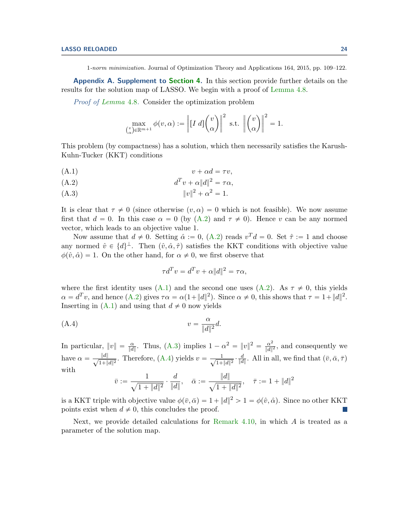1-norm minimization. Journal of Optimization Theory and Applications 164, 2015, pp. 109–122.

Appendix A. Supplement to [Section 4.](#page-9-1) In this section provide further details on the results for the solution map of LASSO. We begin with a proof of [Lemma 4.8.](#page-12-1)

Proof of [Lemma](#page-12-1) 4.8. Consider the optimization problem

<span id="page-23-1"></span>
$$
\max_{\binom{v}{\alpha}\in\mathbb{R}^{m+1}}\phi(v,\alpha):=\left\|\big[I\ d\big]\binom{v}{\alpha}\right\|^2\ \text{ s.t. }\left\|\binom{v}{\alpha}\right\|^2=1.
$$

This problem (by compactness) has a solution, which then necessarily satisfies the Karush-Kuhn-Tucker (KKT) conditions

$$
(A.1) \t\t v + \alpha d = \tau v,
$$

$$
(A.2) \t\t dTv + \alpha \|d\|^2 = \tau \alpha,
$$

(A.3)  $||v||^2 + \alpha^2 = 1.$ 

It is clear that  $\tau \neq 0$  (since otherwise  $(v, \alpha) = 0$  which is not feasible). We now assume first that  $d = 0$ . In this case  $\alpha = 0$  (by  $(A.2)$  and  $\tau \neq 0$ ). Hence v can be any normed vector, which leads to an objective value 1.

Now assume that  $d \neq 0$ . Setting  $\hat{\alpha} := 0$ ,  $(A.2)$  reads  $v^T d = 0$ . Set  $\hat{\tau} := 1$  and choose any normed  $\hat{v} \in \{d\}^{\perp}$ . Then  $(\hat{v}, \hat{\alpha}, \hat{\tau})$  satisfies the KKT conditions with objective value  $\phi(\hat{v}, \hat{\alpha}) = 1$ . On the other hand, for  $\alpha \neq 0$ , we first observe that

<span id="page-23-2"></span>
$$
\tau d^T v = d^T v + \alpha ||d||^2 = \tau \alpha,
$$

where the first identity uses [\(A.1\)](#page-23-1) and the second one uses [\(A.2\)](#page-23-1). As  $\tau \neq 0$ , this yields  $\alpha = d^T v$ , and hence  $(A.2)$  gives  $\tau \alpha = \alpha(1 + ||d||^2)$ . Since  $\alpha \neq 0$ , this shows that  $\tau = 1 + ||d||^2$ . Inserting in  $(A.1)$  and using that  $d \neq 0$  now yields

$$
(A.4) \t v = \frac{\alpha}{\|d\|^2}d.
$$

In particular,  $||v|| = \frac{\alpha}{||d||}$ . Thus, [\(A.3\)](#page-23-1) implies  $1 - \alpha^2 = ||v||^2 = \frac{\alpha^2}{||d||}$  $\frac{\alpha^2}{\|d\|^2}$ , and consequently we have  $\alpha = \frac{\|d\|}{\sqrt{1+\theta}}$  $\frac{\|d\|}{1+\|d\|^2}$ . Therefore, [\(A.4\)](#page-23-2) yields  $v = \frac{1}{\sqrt{1+\|d\|^2}}$ .  $\frac{1}{1+\|d\|^2} \cdot \frac{d}{\|d\|}$  $\frac{d}{\|d\|}$ . All in all, we find that  $(\bar{v}, \bar{\alpha}, \bar{\tau})$ with

$$
\bar{v} := \frac{1}{\sqrt{1 + \|d\|^2}} \cdot \frac{d}{\|d\|}, \quad \bar{\alpha} := \frac{\|d\|}{\sqrt{1 + \|d\|^2}}, \quad \bar{\tau} := 1 + \|d\|^2
$$

is a KKT triple with objective value  $\phi(\bar{v}, \bar{\alpha}) = 1 + ||d||^2 > 1 = \phi(\hat{v}, \hat{\alpha})$ . Since no other KKT points exist when  $d \neq 0$ , this concludes the proof.

<span id="page-23-0"></span>Next, we provide detailed calculations for [Remark 4.10,](#page-13-0) in which  $A$  is treated as a parameter of the solution map.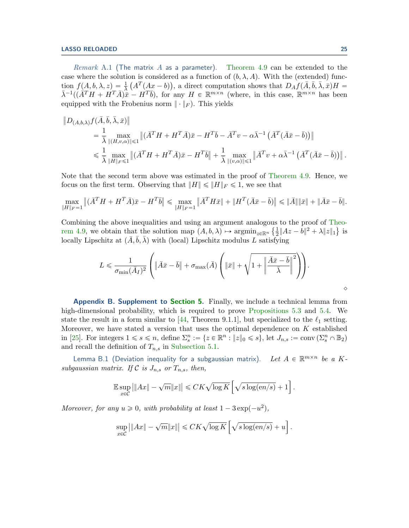*Remark* A.1 (The matrix A as a parameter). [Theorem 4.9](#page-12-0) can be extended to the case where the solution is considered as a function of  $(b, \lambda, A)$ . With the (extended) function  $f(A, b, \lambda, z) = \frac{1}{\lambda} (A^T(Ax - b))$ , a direct computation shows that  $D_A f(\overline{A}, \overline{b}, \overline{\lambda}, \overline{x}) H =$  $\bar{\lambda}^{-1}((\bar{A}^T H + H^T \bar{A})\hat{\bar{x}} - H^T \bar{b})$ , for any  $H \in \mathbb{R}^{m \times n}$  (where, in this case,  $\bar{\mathbb{R}}^{m \times n}$  has been equipped with the Frobenius norm  $\|\cdot\|_F$ . This yields

$$
\|D_{(A,b,\lambda)}f(\bar{A},\bar{b},\bar{\lambda},\bar{x})\|
$$
  
\n
$$
= \frac{1}{\bar{\lambda}} \max_{\|(H,v,\alpha)\| \leq 1} \|(\bar{A}^T H + H^T \bar{A})\bar{x} - H^T \bar{b} - \bar{A}^T v - \alpha \bar{\lambda}^{-1} (\bar{A}^T (\bar{A}\bar{x} - \bar{b}))\|
$$
  
\n
$$
\leq \frac{1}{\bar{\lambda}} \max_{\|H\|_F \leq 1} \|(\bar{A}^T H + H^T \bar{A})\bar{x} - H^T \bar{b}\| + \frac{1}{\bar{\lambda}} \max_{\|(v,\alpha)\| \leq 1} \|\bar{A}^T v + \alpha \bar{\lambda}^{-1} (\bar{A}^T (\bar{A}\bar{x} - \bar{b}))\|.
$$

Note that the second term above was estimated in the proof of [Theorem 4.9.](#page-12-0) Hence, we focus on the first term. Observing that  $||H|| \le ||H||_F \le 1$ , we see that

$$
\max_{\|H\|_F=1} \|(\bar{A}^T H + H^T \bar{A})\bar{x} - H^T \bar{b}\| \le \max_{\|H\|_F=1} \|\bar{A}^T H \bar{x} \| + \|H^T (\bar{A}\bar{x} - \bar{b})\| \le \|\bar{A}\| \|\bar{x}\| + \|\bar{A}\bar{x} - \bar{b}\|.
$$

Combining the above inequalities and using an argument analogous to the proof of [Theo-](#page-12-0) ( [rem 4.9,](#page-12-0) we obtain that the solution map  $(A, b, \lambda) \mapsto \operatorname{argmin}_{z \in \mathbb{R}^n} \left\{ \frac{1}{2} \right\}$  $\frac{1}{2}||Az-b||^2 + \lambda ||z||_1$ } is locally Lipschitz at  $(\bar{A}, \bar{b}, \bar{\lambda})$  with (local) Lipschitz modulus L satisfying

$$
L \leqslant \frac{1}{\sigma_{\min}(\bar{A}_I)^2} \left( \left\| \bar{A} \bar{x} - \bar{b} \right\| + \sigma_{\max}(\bar{A}) \left( \left\| \bar{x} \right\| + \sqrt{1 + \left\| \frac{\bar{A} \bar{x} - \bar{b}}{\bar{\lambda}} \right\|^2} \right) \right).
$$

Appendix B. Supplement to [Section 5.](#page-15-0) Finally, we include a technical lemma from high-dimensional probability, which is required to prove [Propositions 5.3](#page-16-0) and [5.4.](#page-17-0) We state the result in a form similar to [\[44,](#page-22-19) Theorem 9.1.1], but specialized to the  $\ell_1$  setting. Moreover, we have stated a version that uses the optimal dependence on K established in [\[25\]](#page-22-21). For integers  $1 \leq s \leq n$ , define  $\Sigma_s^n := \{z \in \mathbb{R}^n : ||z||_0 \leq s\}$ , let  $J_{n,s} := \text{conv}(\Sigma_s^n \cap \mathbb{B}_2)$ and recall the definition of  $T_{n,s}$  in [Subsection 5.1.](#page-15-2)

<span id="page-24-0"></span>Lemma B.1 (Deviation inequality for a subgaussian matrix). Let  $A \in \mathbb{R}^{m \times n}$  be a Ksubgaussian matrix. If C is  $J_{n,s}$  or  $T_{n,s}$ , then,

$$
\mathbb{E}\sup_{x\in\mathcal{C}}\left|\|Ax\|-\sqrt{m}\|x\|\right|\leqslant CK\sqrt{\log K}\left[\sqrt{s\log(en/s)}+1\right].
$$

Moreover, for any  $u \geq 0$ , with probability at least  $1 - 3 \exp(-u^2)$ ,

$$
\sup_{x \in \mathcal{C}} \left| \|Ax\| - \sqrt{m}\|x\| \right| \leq CK\sqrt{\log K} \left[ \sqrt{s \log(en/s)} + u \right].
$$

 $\Diamond$